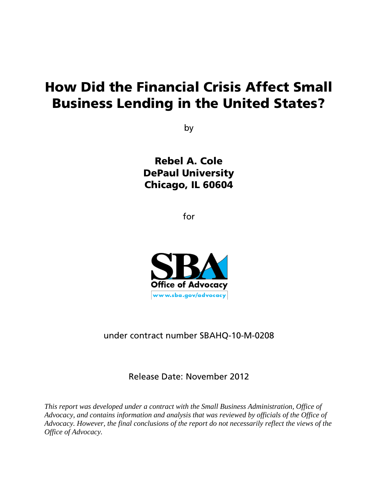# How Did the Financial Crisis Affect Small Business Lending in the United States?

by

Rebel A. Cole DePaul University Chicago, IL 60604

for



under contract number SBAHQ-10-M-0208

Release Date: November 2012

*This report was developed under a contract with the Small Business Administration, Office of Advocacy, and contains information and analysis that was reviewed by officials of the Office of Advocacy. However, the final conclusions of the report do not necessarily reflect the views of the Office of Advocacy.*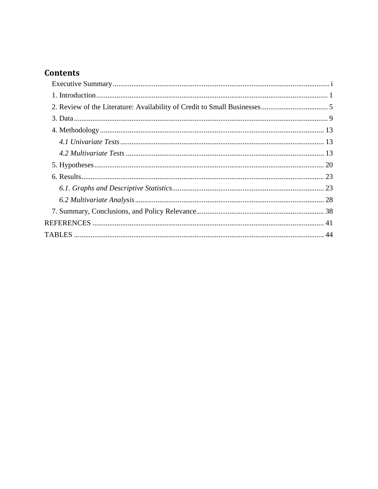# **Contents**

<span id="page-1-0"></span>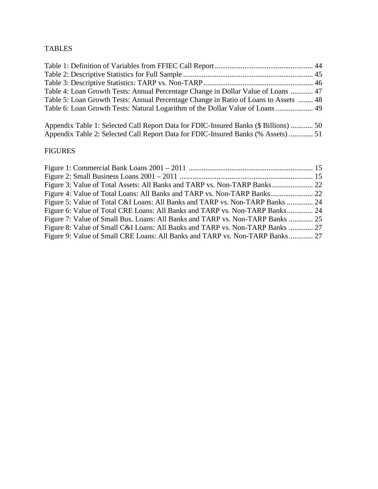# TABLES

| Table 4: Loan Growth Tests: Annual Percentage Change in Dollar Value of Loans  47    |  |
|--------------------------------------------------------------------------------------|--|
| Table 5: Loan Growth Tests: Annual Percentage Change in Ratio of Loans to Assets  48 |  |
| Table 6: Loan Growth Tests: Natural Logarithm of the Dollar Value of Loans  49       |  |
|                                                                                      |  |

Appendix Table 1: Selected Call Report Data for FDIC-Insured Banks (\$ Billions) ............ 50 Appendix Table 2: Selected Call Report Data for FDIC-Insured Banks (% Assets) ............. 51

# FIGURES

| Figure 5: Value of Total C&I Loans: All Banks and TARP vs. Non-TARP Banks  24  |  |
|--------------------------------------------------------------------------------|--|
| Figure 6: Value of Total CRE Loans: All Banks and TARP vs. Non-TARP Banks 24   |  |
| Figure 7: Value of Small Bus. Loans: All Banks and TARP vs. Non-TARP Banks  25 |  |
| Figure 8: Value of Small C&I Loans: All Banks and TARP vs. Non-TARP Banks  27  |  |
| Figure 9: Value of Small CRE Loans: All Banks and TARP vs. Non-TARP Banks 27   |  |
|                                                                                |  |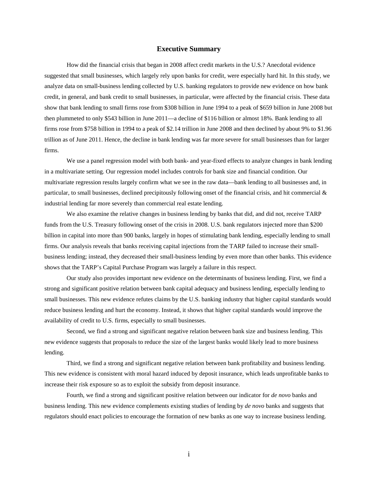#### **Executive Summary**

<span id="page-3-0"></span>How did the financial crisis that began in 2008 affect credit markets in the U.S.? Anecdotal evidence suggested that small businesses, which largely rely upon banks for credit, were especially hard hit. In this study, we analyze data on small-business lending collected by U.S. banking regulators to provide new evidence on how bank credit, in general, and bank credit to small businesses, in particular, were affected by the financial crisis. These data show that bank lending to small firms rose from \$308 billion in June 1994 to a peak of \$659 billion in June 2008 but then plummeted to only \$543 billion in June 2011—a decline of \$116 billion or almost 18%. Bank lending to all firms rose from \$758 billion in 1994 to a peak of \$2.14 trillion in June 2008 and then declined by about 9% to \$1.96 trillion as of June 2011. Hence, the decline in bank lending was far more severe for small businesses than for larger firms.

We use a panel regression model with both bank- and year-fixed effects to analyze changes in bank lending in a multivariate setting. Our regression model includes controls for bank size and financial condition. Our multivariate regression results largely confirm what we see in the raw data—bank lending to all businesses and, in particular, to small businesses, declined precipitously following onset of the financial crisis, and hit commercial & industrial lending far more severely than commercial real estate lending.

We also examine the relative changes in business lending by banks that did, and did not, receive TARP funds from the U.S. Treasury following onset of the crisis in 2008. U.S. bank regulators injected more than \$200 billion in capital into more than 900 banks, largely in hopes of stimulating bank lending, especially lending to small firms. Our analysis reveals that banks receiving capital injections from the TARP failed to increase their smallbusiness lending; instead, they decreased their small-business lending by even more than other banks. This evidence shows that the TARP's Capital Purchase Program was largely a failure in this respect.

Our study also provides important new evidence on the determinants of business lending. First, we find a strong and significant positive relation between bank capital adequacy and business lending, especially lending to small businesses. This new evidence refutes claims by the U.S. banking industry that higher capital standards would reduce business lending and hurt the economy. Instead, it shows that higher capital standards would improve the availability of credit to U.S. firms, especially to small businesses.

Second, we find a strong and significant negative relation between bank size and business lending. This new evidence suggests that proposals to reduce the size of the largest banks would likely lead to more business lending.

Third, we find a strong and significant negative relation between bank profitability and business lending. This new evidence is consistent with moral hazard induced by deposit insurance, which leads unprofitable banks to increase their risk exposure so as to exploit the subsidy from deposit insurance.

Fourth, we find a strong and significant positive relation between our indicator for *de novo* banks and business lending. This new evidence complements existing studies of lending by *de novo* banks and suggests that regulators should enact policies to encourage the formation of new banks as one way to increase business lending.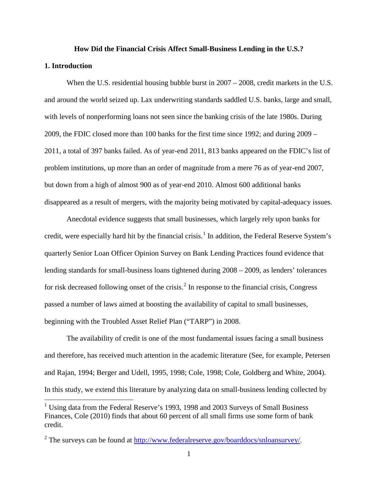# **How Did the Financial Crisis Affect Small-Business Lending in the U.S.?**

#### <span id="page-4-0"></span>**1. Introduction**

When the U.S. residential housing bubble burst in  $2007 - 2008$ , credit markets in the U.S. and around the world seized up. Lax underwriting standards saddled U.S. banks, large and small, with levels of nonperforming loans not seen since the banking crisis of the late 1980s. During 2009, the FDIC closed more than 100 banks for the first time since 1992; and during 2009 – 2011, a total of 397 banks failed. As of year-end 2011, 813 banks appeared on the FDIC's list of problem institutions, up more than an order of magnitude from a mere 76 as of year-end 2007, but down from a high of almost 900 as of year-end 2010. Almost 600 additional banks disappeared as a result of mergers, with the majority being motivated by capital-adequacy issues.

Anecdotal evidence suggests that small businesses, which largely rely upon banks for credit, were especially hard hit by the financial crisis.<sup>[1](#page-1-0)</sup> In addition, the Federal Reserve System's quarterly Senior Loan Officer Opinion Survey on Bank Lending Practices found evidence that lending standards for small-business loans tightened during 2008 – 2009, as lenders' tolerances for risk decreased following onset of the crisis.<sup>[2](#page-4-1)</sup> In response to the financial crisis, Congress passed a number of laws aimed at boosting the availability of capital to small businesses, beginning with the Troubled Asset Relief Plan ("TARP") in 2008.

The availability of credit is one of the most fundamental issues facing a small business and therefore, has received much attention in the academic literature (See, for example, Petersen and Rajan, 1994; Berger and Udell, 1995, 1998; Cole, 1998; Cole, Goldberg and White, 2004). In this study, we extend this literature by analyzing data on small-business lending collected by

<span id="page-4-2"></span><sup>&</sup>lt;sup>1</sup> Using data from the Federal Reserve's 1993, 1998 and 2003 Surveys of Small Business Finances, Cole (2010) finds that about 60 percent of all small firms use some form of bank credit.

<span id="page-4-1"></span> $2$  The surveys can be found at  $\frac{http://www.federalreserve.gov/boarddocs/snloansurvey/}{http://www.federalreserve.gov/boarddocs/snloansurvey/}.$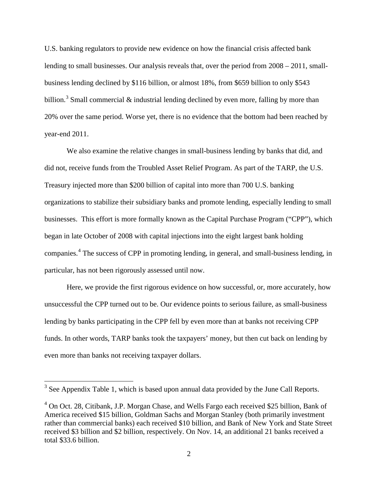U.S. banking regulators to provide new evidence on how the financial crisis affected bank lending to small businesses. Our analysis reveals that, over the period from 2008 – 2011, smallbusiness lending declined by \$116 billion, or almost 18%, from \$659 billion to only \$543 billion.<sup>[3](#page-4-2)</sup> Small commercial & industrial lending declined by even more, falling by more than 20% over the same period. Worse yet, there is no evidence that the bottom had been reached by year-end 2011.

We also examine the relative changes in small-business lending by banks that did, and did not, receive funds from the Troubled Asset Relief Program. As part of the TARP, the U.S. Treasury injected more than \$200 billion of capital into more than 700 U.S. banking organizations to stabilize their subsidiary banks and promote lending, especially lending to small businesses. This effort is more formally known as the Capital Purchase Program ("CPP"), which began in late October of 2008 with capital injections into the eight largest bank holding companies. [4](#page-5-0) The success of CPP in promoting lending, in general, and small-business lending, in particular, has not been rigorously assessed until now.

<span id="page-5-1"></span>Here, we provide the first rigorous evidence on how successful, or, more accurately, how unsuccessful the CPP turned out to be. Our evidence points to serious failure, as small-business lending by banks participating in the CPP fell by even more than at banks not receiving CPP funds. In other words, TARP banks took the taxpayers' money, but then cut back on lending by even more than banks not receiving taxpayer dollars.

<sup>&</sup>lt;sup>3</sup> See Appendix Table 1, which is based upon annual data provided by the June Call Reports.

<span id="page-5-0"></span><sup>4</sup> On Oct. 28, Citibank, J.P. Morgan Chase, and Wells Fargo each received \$25 billion, Bank of America received \$15 billion, Goldman Sachs and Morgan Stanley (both primarily investment rather than commercial banks) each received \$10 billion, and Bank of New York and State Street received \$3 billion and \$2 billion, respectively. On Nov. 14, an additional 21 banks received a total \$33.6 billion.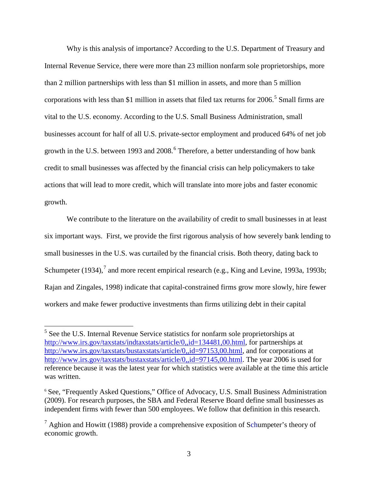Why is this analysis of importance? According to the U.S. Department of Treasury and Internal Revenue Service, there were more than 23 million nonfarm sole proprietorships, more than 2 million partnerships with less than \$1 million in assets, and more than 5 million corporations with less than \$1 million in assets that filed tax returns for  $2006$ .<sup>[5](#page-5-1)</sup> Small firms are vital to the U.S. economy. According to the U.S. Small Business Administration, small businesses account for half of all U.S. private-sector employment and produced 64% of net job growth in the U.S. between 1993 and 2008.<sup>[6](#page-6-0)</sup> Therefore, a better understanding of how bank credit to small businesses was affected by the financial crisis can help policymakers to take actions that will lead to more credit, which will translate into more jobs and faster economic growth.

We contribute to the literature on the availability of credit to small businesses in at least six important ways. First, we provide the first rigorous analysis of how severely bank lending to small businesses in the U.S. was curtailed by the financial crisis. Both theory, dating back to Schumpeter (1934),<sup>[7](#page-6-1)</sup> and more recent empirical research (e.g., King and Levine, 1993a, 1993b; Rajan and Zingales, 1998) indicate that capital-constrained firms grow more slowly, hire fewer workers and make fewer productive investments than firms utilizing debt in their capital

 <sup>5</sup> See the U.S. Internal Revenue Service statistics for nonfarm sole proprietorships at [http://www.irs.gov/taxstats/indtaxstats/article/0,,id=134481,00.html,](http://www.irs.gov/taxstats/indtaxstats/article/0,,id=134481,00.html) for partnerships at [http://www.irs.gov/taxstats/bustaxstats/article/0,,id=97153,00.html,](http://www.irs.gov/taxstats/bustaxstats/article/0,,id=97153,00.html) and for corporations at [http://www.irs.gov/taxstats/bustaxstats/article/0,,id=97145,00.html.](http://www.irs.gov/taxstats/bustaxstats/article/0,,id=97145,00.html) The year 2006 is used for reference because it was the latest year for which statistics were available at the time this article was written.

<span id="page-6-2"></span><span id="page-6-0"></span><sup>&</sup>lt;sup>6</sup> See, "Frequently Asked Questions," Office of Advocacy, U.S. Small Business Administration (2009). For research purposes, the SBA and Federal Reserve Board define small businesses as independent firms with fewer than 500 employees. We follow that definition in this research.

<span id="page-6-1"></span> $<sup>7</sup>$  Aghion and Howitt (1988) provide a comprehensive exposition of Schumpeter's theory of</sup> economic growth.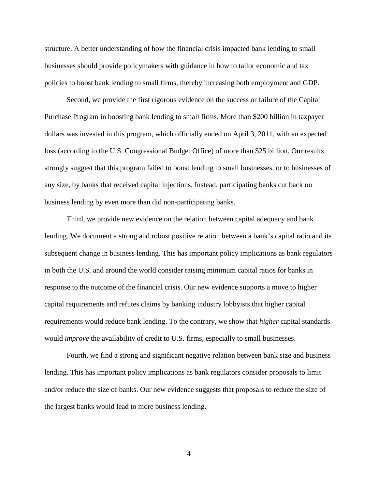structure. A better understanding of how the financial crisis impacted bank lending to small businesses should provide policymakers with guidance in how to tailor economic and tax policies to boost bank lending to small firms, thereby increasing both employment and GDP.

Second, we provide the first rigorous evidence on the success or failure of the Capital Purchase Program in boosting bank lending to small firms. More than \$200 billion in taxpayer dollars was invested in this program, which officially ended on April 3, 2011, with an expected loss (according to the U.S. Congressional Budget Office) of more than \$25 billion. Our results strongly suggest that this program failed to boost lending to small businesses, or to businesses of any size, by banks that received capital injections. Instead, participating banks cut back on business lending by even more than did non-participating banks.

Third, we provide new evidence on the relation between capital adequacy and bank lending. We document a strong and robust positive relation between a bank's capital ratio and its subsequent change in business lending. This has important policy implications as bank regulators in both the U.S. and around the world consider raising minimum capital ratios for banks in response to the outcome of the financial crisis. Our new evidence supports a move to higher capital requirements and refutes claims by banking industry lobbyists that higher capital requirements would reduce bank lending. To the contrary, we show that *higher* capital standards would *improve* the availability of credit to U.S. firms, especially to small businesses.

Fourth, we find a strong and significant negative relation between bank size and business lending. This has important policy implications as bank regulators consider proposals to limit and/or reduce the size of banks. Our new evidence suggests that proposals to reduce the size of the largest banks would lead to more business lending.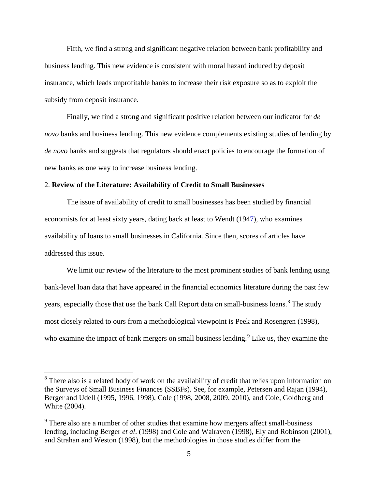Fifth, we find a strong and significant negative relation between bank profitability and business lending. This new evidence is consistent with moral hazard induced by deposit insurance, which leads unprofitable banks to increase their risk exposure so as to exploit the subsidy from deposit insurance.

Finally, we find a strong and significant positive relation between our indicator for *de novo* banks and business lending. This new evidence complements existing studies of lending by *de novo* banks and suggests that regulators should enact policies to encourage the formation of new banks as one way to increase business lending.

#### <span id="page-8-0"></span>2. **Review of the Literature: Availability of Credit to Small Businesses**

The issue of availability of credit to small businesses has been studied by financial economists for at least sixty years, dating back at least to Wendt (1947), who examines availability of loans to small businesses in California. Since then, scores of articles have addressed this issue.

We limit our review of the literature to the most prominent studies of bank lending using bank-level loan data that have appeared in the financial economics literature during the past few years, especially those that use the bank Call Report data on small-business loans.<sup>[8](#page-6-2)</sup> The study most closely related to ours from a methodological viewpoint is Peek and Rosengren (1998), who examine the impact of bank mergers on small business lending.<sup>[9](#page-8-1)</sup> Like us, they examine the

<span id="page-8-2"></span><sup>&</sup>lt;sup>8</sup> There also is a related body of work on the availability of credit that relies upon information on the Surveys of Small Business Finances (SSBFs). See, for example, Petersen and Rajan (1994), Berger and Udell (1995, 1996, 1998), Cole (1998, 2008, 2009, 2010), and Cole, Goldberg and White (2004).

<span id="page-8-1"></span><sup>&</sup>lt;sup>9</sup> There also are a number of other studies that examine how mergers affect small-business lending, including Berger *et al*. (1998) and Cole and Walraven (1998), Ely and Robinson (2001), and Strahan and Weston (1998), but the methodologies in those studies differ from the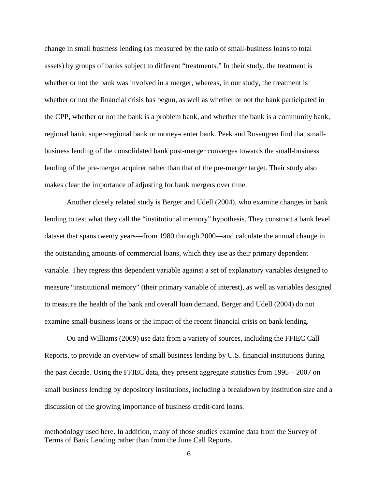change in small business lending (as measured by the ratio of small-business loans to total assets) by groups of banks subject to different "treatments." In their study, the treatment is whether or not the bank was involved in a merger, whereas, in our study, the treatment is whether or not the financial crisis has begun, as well as whether or not the bank participated in the CPP, whether or not the bank is a problem bank, and whether the bank is a community bank, regional bank, super-regional bank or money-center bank. Peek and Rosengren find that smallbusiness lending of the consolidated bank post-merger converges towards the small-business lending of the pre-merger acquirer rather than that of the pre-merger target. Their study also makes clear the importance of adjusting for bank mergers over time.

Another closely related study is Berger and Udell (2004), who examine changes in bank lending to test what they call the "institutional memory" hypothesis. They construct a bank level dataset that spans twenty years—from 1980 through 2000—and calculate the annual change in the outstanding amounts of commercial loans, which they use as their primary dependent variable. They regress this dependent variable against a set of explanatory variables designed to measure "institutional memory" (their primary variable of interest), as well as variables designed to measure the health of the bank and overall loan demand. Berger and Udell (2004) do not examine small-business loans or the impact of the recent financial crisis on bank lending.

Ou and Williams (2009) use data from a variety of sources, including the FFIEC Call Reports, to provide an overview of small business lending by U.S. financial institutions during the past decade. Using the FFIEC data, they present aggregate statistics from 1995 – 2007 on small business lending by depository institutions, including a breakdown by institution size and a discussion of the growing importance of business credit-card loans.

 $\overline{a}$ 

methodology used here. In addition, many of those studies examine data from the Survey of Terms of Bank Lending rather than from the June Call Reports.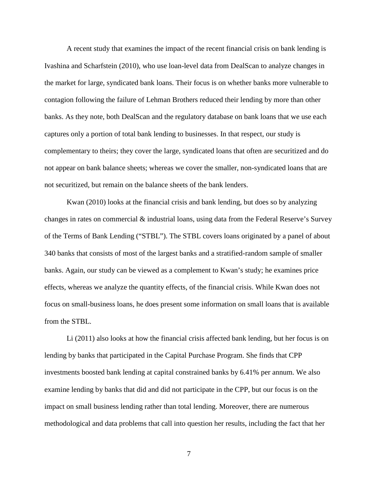A recent study that examines the impact of the recent financial crisis on bank lending is Ivashina and Scharfstein (2010), who use loan-level data from DealScan to analyze changes in the market for large, syndicated bank loans. Their focus is on whether banks more vulnerable to contagion following the failure of Lehman Brothers reduced their lending by more than other banks. As they note, both DealScan and the regulatory database on bank loans that we use each captures only a portion of total bank lending to businesses. In that respect, our study is complementary to theirs; they cover the large, syndicated loans that often are securitized and do not appear on bank balance sheets; whereas we cover the smaller, non-syndicated loans that are not securitized, but remain on the balance sheets of the bank lenders.

Kwan (2010) looks at the financial crisis and bank lending, but does so by analyzing changes in rates on commercial & industrial loans, using data from the Federal Reserve's Survey of the Terms of Bank Lending ("STBL"). The STBL covers loans originated by a panel of about 340 banks that consists of most of the largest banks and a stratified-random sample of smaller banks. Again, our study can be viewed as a complement to Kwan's study; he examines price effects, whereas we analyze the quantity effects, of the financial crisis. While Kwan does not focus on small-business loans, he does present some information on small loans that is available from the STBL.

Li (2011) also looks at how the financial crisis affected bank lending, but her focus is on lending by banks that participated in the Capital Purchase Program. She finds that CPP investments boosted bank lending at capital constrained banks by 6.41% per annum. We also examine lending by banks that did and did not participate in the CPP, but our focus is on the impact on small business lending rather than total lending. Moreover, there are numerous methodological and data problems that call into question her results, including the fact that her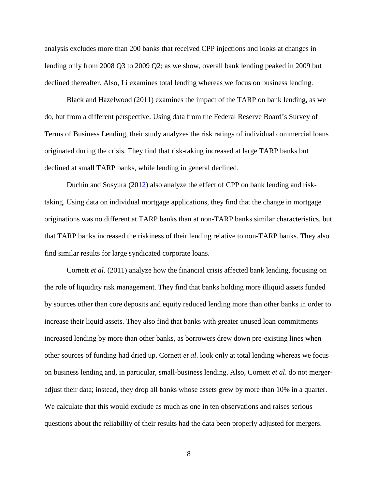analysis excludes more than 200 banks that received CPP injections and looks at changes in lending only from 2008 Q3 to 2009 Q2; as we show, overall bank lending peaked in 2009 but declined thereafter. Also, Li examines total lending whereas we focus on business lending.

Black and Hazelwood (2011) examines the impact of the TARP on bank lending, as we do, but from a different perspective. Using data from the Federal Reserve Board's Survey of Terms of Business Lending, their study analyzes the risk ratings of individual commercial loans originated during the crisis. They find that risk-taking increased at large TARP banks but declined at small TARP banks, while lending in general declined.

Duchin and Sosyura (2012) also analyze the effect of CPP on bank lending and risktaking. Using data on individual mortgage applications, they find that the change in mortgage originations was no different at TARP banks than at non-TARP banks similar characteristics, but that TARP banks increased the riskiness of their lending relative to non-TARP banks. They also find similar results for large syndicated corporate loans.

Cornett *et al*. (2011) analyze how the financial crisis affected bank lending, focusing on the role of liquidity risk management. They find that banks holding more illiquid assets funded by sources other than core deposits and equity reduced lending more than other banks in order to increase their liquid assets. They also find that banks with greater unused loan commitments increased lending by more than other banks, as borrowers drew down pre-existing lines when other sources of funding had dried up. Cornett *et al*. look only at total lending whereas we focus on business lending and, in particular, small-business lending. Also, Cornett *et al*. do not mergeradjust their data; instead, they drop all banks whose assets grew by more than 10% in a quarter. We calculate that this would exclude as much as one in ten observations and raises serious questions about the reliability of their results had the data been properly adjusted for mergers.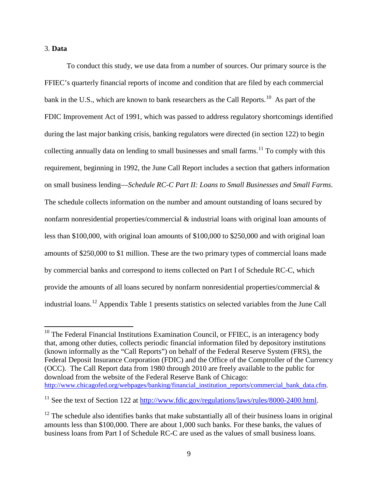#### <span id="page-12-0"></span>3. **Data**

To conduct this study, we use data from a number of sources. Our primary source is the FFIEC's quarterly financial reports of income and condition that are filed by each commercial bank in the U.S., which are known to bank researchers as the Call Reports.<sup>10</sup> As part of the FDIC Improvement Act of 1991, which was passed to address regulatory shortcomings identified during the last major banking crisis, banking regulators were directed (in section 122) to begin collecting annually data on lending to small businesses and small farms.<sup>[11](#page-12-1)</sup> To comply with this requirement, beginning in 1992, the June Call Report includes a section that gathers information on small business lending—*Schedule RC-C Part II: Loans to Small Businesses and Small Farms*. The schedule collects information on the number and amount outstanding of loans secured by nonfarm nonresidential properties/commercial & industrial loans with original loan amounts of less than \$100,000, with original loan amounts of \$100,000 to \$250,000 and with original loan amounts of \$250,000 to \$1 million. These are the two primary types of commercial loans made by commercial banks and correspond to items collected on Part I of Schedule RC-C, which provide the amounts of all loans secured by nonfarm nonresidential properties/commercial  $\&$ industrial loans.[12](#page-12-2) Appendix Table 1 presents statistics on selected variables from the June Call

 $10$  The Federal Financial Institutions Examination Council, or FFIEC, is an interagency body that, among other duties, collects periodic financial information filed by depository institutions (known informally as the "Call Reports") on behalf of the Federal Reserve System (FRS), the Federal Deposit Insurance Corporation (FDIC) and the Office of the Comptroller of the Currency (OCC). The Call Report data from 1980 through 2010 are freely available to the public for download from the website of the Federal Reserve Bank of Chicago: [http://www.chicagofed.org/webpages/banking/financial\\_institution\\_reports/commercial\\_bank\\_data.cfm.](http://www.chicagofed.org/webpages/banking/financial_institution_reports/commercial_bank_data.cfm)

<span id="page-12-3"></span><span id="page-12-1"></span><sup>&</sup>lt;sup>11</sup> See the text of Section 122 at [http://www.fdic.gov/regulations/laws/rules/8000-2400.html.](http://www.fdic.gov/regulations/laws/rules/8000-2400.html)

<span id="page-12-2"></span> $12$  The schedule also identifies banks that make substantially all of their business loans in original amounts less than \$100,000. There are about 1,000 such banks. For these banks, the values of business loans from Part I of Schedule RC-C are used as the values of small business loans.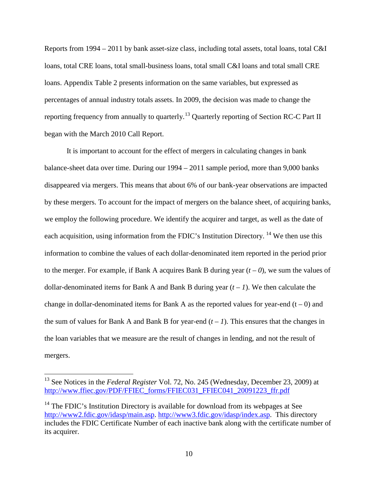Reports from 1994 – 2011 by bank asset-size class, including total assets, total loans, total C&I loans, total CRE loans, total small-business loans, total small C&I loans and total small CRE loans. Appendix Table 2 presents information on the same variables, but expressed as percentages of annual industry totals assets. In 2009, the decision was made to change the reporting frequency from annually to quarterly.<sup>[13](#page-12-3)</sup> Quarterly reporting of Section RC-C Part II began with the March 2010 Call Report.

It is important to account for the effect of mergers in calculating changes in bank balance-sheet data over time. During our 1994 – 2011 sample period, more than 9,000 banks disappeared via mergers. This means that about 6% of our bank-year observations are impacted by these mergers. To account for the impact of mergers on the balance sheet, of acquiring banks, we employ the following procedure. We identify the acquirer and target, as well as the date of each acquisition, using information from the FDIC's Institution Directory.<sup>[14](#page-13-0)</sup> We then use this information to combine the values of each dollar-denominated item reported in the period prior to the merger. For example, if Bank A acquires Bank B during year  $(t - 0)$ , we sum the values of dollar-denominated items for Bank A and Bank B during year  $(t - 1)$ . We then calculate the change in dollar-denominated items for Bank A as the reported values for year-end  $(t - 0)$  and the sum of values for Bank A and Bank B for year-end  $(t - 1)$ . This ensures that the changes in the loan variables that we measure are the result of changes in lending, and not the result of mergers.

<sup>&</sup>lt;sup>13</sup> See Notices in the *Federal Register* Vol. 72, No. 245 (Wednesday, December 23, 2009) at [http://www.ffiec.gov/PDF/FFIEC\\_forms/FFIEC031\\_FFIEC041\\_20091223\\_ffr.pdf](http://www.ffiec.gov/PDF/FFIEC_forms/FFIEC031_FFIEC041_20091223_ffr.pdf)

<span id="page-13-1"></span><span id="page-13-0"></span> $14$  The FDIC's Institution Directory is available for download from its webpages at See [http://www2.fdic.gov/idasp/main.asp.](http://www2.fdic.gov/idasp/main.asp) [http://www3.fdic.gov/idasp/index.asp.](http://www3.fdic.gov/idasp/index.asp) This directory includes the FDIC Certificate Number of each inactive bank along with the certificate number of its acquirer.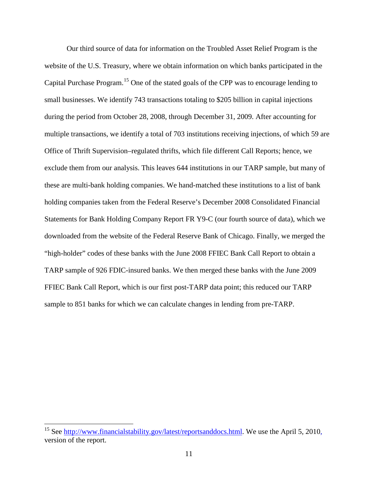Our third source of data for information on the Troubled Asset Relief Program is the website of the U.S. Treasury, where we obtain information on which banks participated in the Capital Purchase Program.<sup>[15](#page-13-1)</sup> One of the stated goals of the CPP was to encourage lending to small businesses. We identify 743 transactions totaling to \$205 billion in capital injections during the period from October 28, 2008, through December 31, 2009. After accounting for multiple transactions, we identify a total of 703 institutions receiving injections, of which 59 are Office of Thrift Supervision–regulated thrifts, which file different Call Reports; hence, we exclude them from our analysis. This leaves 644 institutions in our TARP sample, but many of these are multi-bank holding companies. We hand-matched these institutions to a list of bank holding companies taken from the Federal Reserve's December 2008 Consolidated Financial Statements for Bank Holding Company Report FR Y9-C (our fourth source of data), which we downloaded from the website of the Federal Reserve Bank of Chicago. Finally, we merged the "high-holder" codes of these banks with the June 2008 FFIEC Bank Call Report to obtain a TARP sample of 926 FDIC-insured banks. We then merged these banks with the June 2009 FFIEC Bank Call Report, which is our first post-TARP data point; this reduced our TARP sample to 851 banks for which we can calculate changes in lending from pre-TARP.

<span id="page-14-0"></span><sup>&</sup>lt;sup>15</sup> See [http://www.financialstability.gov/latest/reportsanddocs.html.](http://www.financialstability.gov/latest/reportsanddocs.html) We use the April 5, 2010, version of the report.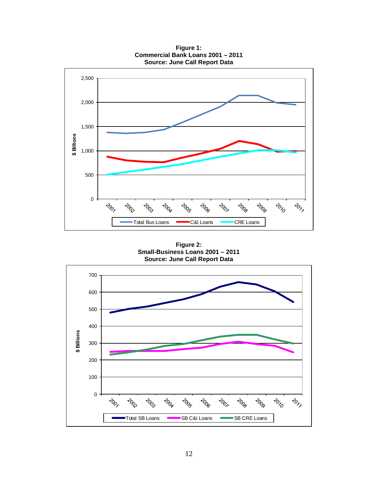2,500 2,000 1,500 **\$ Billions** 1,000 500 0 **POD POD POD PORT POD PORT POD** 2010  $rac{1}{2}$ **PORT PORT** Total Bus Loans **CAI Loans** C&I Loans

**Figure 1: Commercial Bank Loans 2001 – 2011 Source: June Call Report Data**

**Figure 2: Small-Business Loans 2001 – 2011 Source: June Call Report Data**

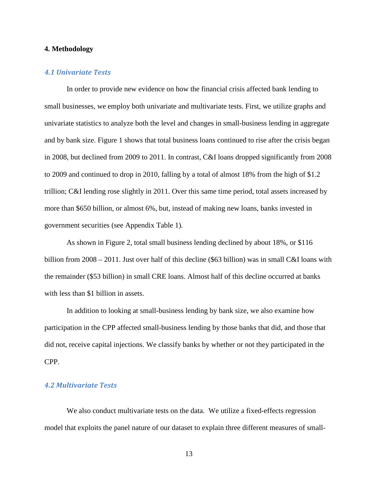#### <span id="page-16-0"></span>**4. Methodology**

#### <span id="page-16-1"></span>*4.1 Univariate Tests*

In order to provide new evidence on how the financial crisis affected bank lending to small businesses, we employ both univariate and multivariate tests. First, we utilize graphs and univariate statistics to analyze both the level and changes in small-business lending in aggregate and by bank size. Figure 1 shows that total business loans continued to rise after the crisis began in 2008, but declined from 2009 to 2011. In contrast, C&I loans dropped significantly from 2008 to 2009 and continued to drop in 2010, falling by a total of almost 18% from the high of \$1.2 trillion; C&I lending rose slightly in 2011. Over this same time period, total assets increased by more than \$650 billion, or almost 6%, but, instead of making new loans, banks invested in government securities (see Appendix Table 1).

As shown in Figure 2, total small business lending declined by about 18%, or \$116 billion from 2008 – 2011. Just over half of this decline (\$63 billion) was in small C&I loans with the remainder (\$53 billion) in small CRE loans. Almost half of this decline occurred at banks with less than \$1 billion in assets.

In addition to looking at small-business lending by bank size, we also examine how participation in the CPP affected small-business lending by those banks that did, and those that did not, receive capital injections. We classify banks by whether or not they participated in the CPP.

### <span id="page-16-2"></span>*4.2 Multivariate Tests*

We also conduct multivariate tests on the data. We utilize a fixed-effects regression model that exploits the panel nature of our dataset to explain three different measures of small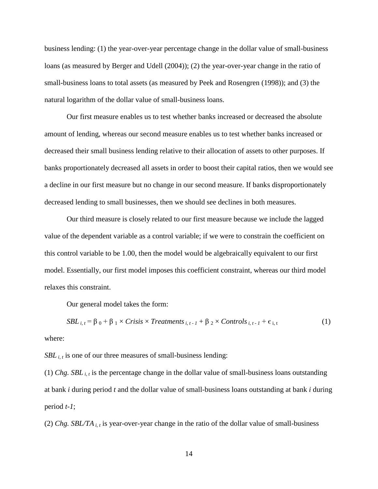business lending: (1) the year-over-year percentage change in the dollar value of small-business loans (as measured by Berger and Udell (2004)); (2) the year-over-year change in the ratio of small-business loans to total assets (as measured by Peek and Rosengren (1998)); and (3) the natural logarithm of the dollar value of small-business loans.

Our first measure enables us to test whether banks increased or decreased the absolute amount of lending, whereas our second measure enables us to test whether banks increased or decreased their small business lending relative to their allocation of assets to other purposes. If banks proportionately decreased all assets in order to boost their capital ratios, then we would see a decline in our first measure but no change in our second measure. If banks disproportionately decreased lending to small businesses, then we should see declines in both measures.

Our third measure is closely related to our first measure because we include the lagged value of the dependent variable as a control variable; if we were to constrain the coefficient on this control variable to be 1.00, then the model would be algebraically equivalent to our first model. Essentially, our first model imposes this coefficient constraint, whereas our third model relaxes this constraint.

Our general model takes the form:

$$
SBL_{i, t} = \beta_0 + \beta_1 \times Crisis \times Treatments_{i, t-1} + \beta_2 \times Controls_{i, t-1} + \epsilon_{i, t}
$$
 (1)

where:

 $SBL_{i, t}$  is one of our three measures of small-business lending:

(1) *Chg. SBL i, t* is the percentage change in the dollar value of small-business loans outstanding at bank *i* during period *t* and the dollar value of small-business loans outstanding at bank *i* during period *t-1*;

(2) *Chg. SBL/TA i, t* is year-over-year change in the ratio of the dollar value of small-business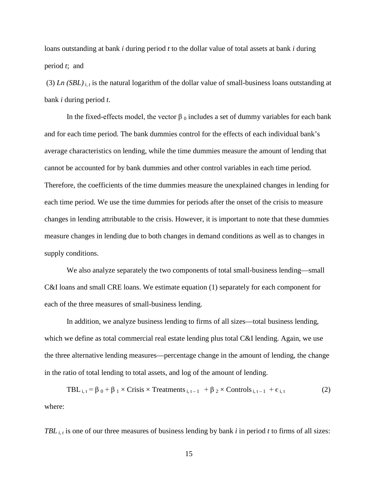loans outstanding at bank *i* during period *t* to the dollar value of total assets at bank *i* during period *t*; and

(3) *Ln*  $(SBL)$ <sub>*i, t*</sub> is the natural logarithm of the dollar value of small-business loans outstanding at bank *i* during period *t*.

In the fixed-effects model, the vector  $\beta_0$  includes a set of dummy variables for each bank and for each time period. The bank dummies control for the effects of each individual bank's average characteristics on lending, while the time dummies measure the amount of lending that cannot be accounted for by bank dummies and other control variables in each time period. Therefore, the coefficients of the time dummies measure the unexplained changes in lending for each time period. We use the time dummies for periods after the onset of the crisis to measure changes in lending attributable to the crisis. However, it is important to note that these dummies measure changes in lending due to both changes in demand conditions as well as to changes in supply conditions.

We also analyze separately the two components of total small-business lending—small C&I loans and small CRE loans. We estimate equation (1) separately for each component for each of the three measures of small-business lending.

In addition, we analyze business lending to firms of all sizes—total business lending, which we define as total commercial real estate lending plus total C&I lending. Again, we use the three alternative lending measures—percentage change in the amount of lending, the change in the ratio of total lending to total assets, and log of the amount of lending.

TBL  $_{i,t} = \beta_0 + \beta_1 \times \text{Crisis} \times \text{Treatments}_{i,t-1} + \beta_2 \times \text{Controls}_{i,t-1} + \varepsilon_{i,t}$  (2) where:

*TBL i, t* is one of our three measures of business lending by bank *i* in period *t* to firms of all sizes: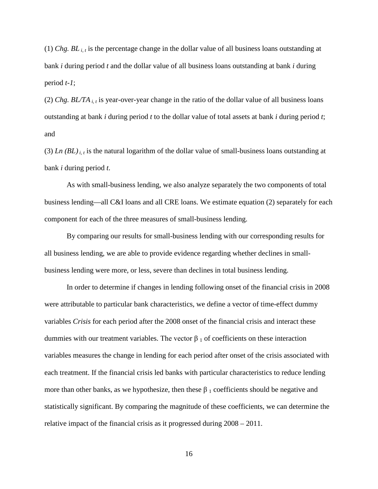(1) *Chg.*  $BL_{i,t}$  is the percentage change in the dollar value of all business loans outstanding at bank *i* during period *t* and the dollar value of all business loans outstanding at bank *i* during period *t-1*;

(2) *Chg. BL/TA i, t* is year-over-year change in the ratio of the dollar value of all business loans outstanding at bank *i* during period *t* to the dollar value of total assets at bank *i* during period *t*; and

(3) *Ln*  $(BL)$ <sub>*i, t*</sub> is the natural logarithm of the dollar value of small-business loans outstanding at bank *i* during period *t*.

As with small-business lending, we also analyze separately the two components of total business lending—all C&I loans and all CRE loans. We estimate equation (2) separately for each component for each of the three measures of small-business lending.

By comparing our results for small-business lending with our corresponding results for all business lending, we are able to provide evidence regarding whether declines in smallbusiness lending were more, or less, severe than declines in total business lending.

In order to determine if changes in lending following onset of the financial crisis in 2008 were attributable to particular bank characteristics, we define a vector of time-effect dummy variables *Crisis* for each period after the 2008 onset of the financial crisis and interact these dummies with our treatment variables. The vector  $β_1$  of coefficients on these interaction variables measures the change in lending for each period after onset of the crisis associated with each treatment. If the financial crisis led banks with particular characteristics to reduce lending more than other banks, as we hypothesize, then these  $\beta_1$  coefficients should be negative and statistically significant. By comparing the magnitude of these coefficients, we can determine the relative impact of the financial crisis as it progressed during 2008 – 2011.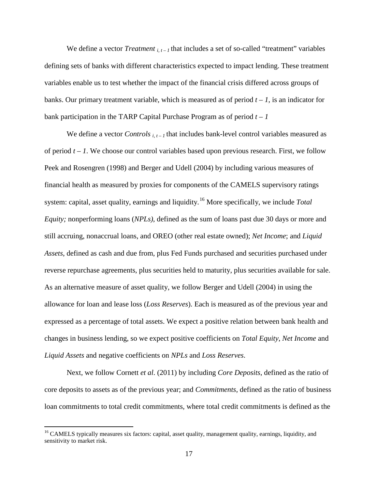We define a vector *Treatment*  $_{i,t-1}$  that includes a set of so-called "treatment" variables defining sets of banks with different characteristics expected to impact lending. These treatment variables enable us to test whether the impact of the financial crisis differed across groups of banks. Our primary treatment variable, which is measured as of period  $t - 1$ , is an indicator for bank participation in the TARP Capital Purchase Program as of period  $t - 1$ 

We define a vector *Controls*  $_{i,t-1}$  that includes bank-level control variables measured as of period *t – 1*. We choose our control variables based upon previous research. First, we follow Peek and Rosengren (1998) and Berger and Udell (2004) by including various measures of financial health as measured by proxies for components of the CAMELS supervisory ratings system: capital, asset quality, earnings and liquidity.[16](#page-14-0) More specifically, we include *Total Equity;* nonperforming loans (*NPLs)*, defined as the sum of loans past due 30 days or more and still accruing, nonaccrual loans, and OREO (other real estate owned); *Net Income*; and *Liquid Assets*, defined as cash and due from, plus Fed Funds purchased and securities purchased under reverse repurchase agreements, plus securities held to maturity, plus securities available for sale. As an alternative measure of asset quality, we follow Berger and Udell (2004) in using the allowance for loan and lease loss (*Loss Reserves*). Each is measured as of the previous year and expressed as a percentage of total assets. We expect a positive relation between bank health and changes in business lending, so we expect positive coefficients on *Total Equity*, *Net Income* and *Liquid Assets* and negative coefficients on *NPLs* and *Loss Reserves*.

Next, we follow Cornett *et al*. (2011) by including *Core Deposits*, defined as the ratio of core deposits to assets as of the previous year; and *Commitments*, defined as the ratio of business loan commitments to total credit commitments*,* where total credit commitments is defined as the

<span id="page-20-0"></span><sup>&</sup>lt;sup>16</sup> CAMELS typically measures six factors: capital, asset quality, management quality, earnings, liquidity, and sensitivity to market risk.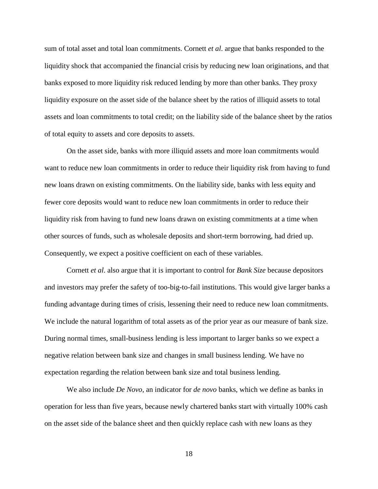sum of total asset and total loan commitments. Cornett *et al*. argue that banks responded to the liquidity shock that accompanied the financial crisis by reducing new loan originations, and that banks exposed to more liquidity risk reduced lending by more than other banks. They proxy liquidity exposure on the asset side of the balance sheet by the ratios of illiquid assets to total assets and loan commitments to total credit; on the liability side of the balance sheet by the ratios of total equity to assets and core deposits to assets.

On the asset side, banks with more illiquid assets and more loan commitments would want to reduce new loan commitments in order to reduce their liquidity risk from having to fund new loans drawn on existing commitments. On the liability side, banks with less equity and fewer core deposits would want to reduce new loan commitments in order to reduce their liquidity risk from having to fund new loans drawn on existing commitments at a time when other sources of funds, such as wholesale deposits and short-term borrowing, had dried up. Consequently, we expect a positive coefficient on each of these variables.

Cornett *et al*. also argue that it is important to control for *Bank Size* because depositors and investors may prefer the safety of too-big-to-fail institutions. This would give larger banks a funding advantage during times of crisis, lessening their need to reduce new loan commitments. We include the natural logarithm of total assets as of the prior year as our measure of bank size. During normal times, small-business lending is less important to larger banks so we expect a negative relation between bank size and changes in small business lending. We have no expectation regarding the relation between bank size and total business lending.

We also include *De Novo*, an indicator for *de novo* banks, which we define as banks in operation for less than five years, because newly chartered banks start with virtually 100% cash on the asset side of the balance sheet and then quickly replace cash with new loans as they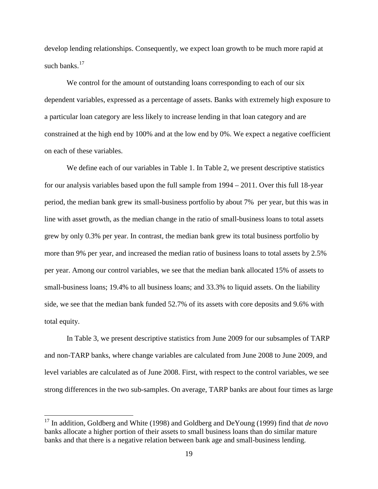develop lending relationships. Consequently, we expect loan growth to be much more rapid at such banks.<sup>[17](#page-20-0)</sup>

We control for the amount of outstanding loans corresponding to each of our six dependent variables, expressed as a percentage of assets. Banks with extremely high exposure to a particular loan category are less likely to increase lending in that loan category and are constrained at the high end by 100% and at the low end by 0%. We expect a negative coefficient on each of these variables.

We define each of our variables in Table 1. In Table 2, we present descriptive statistics for our analysis variables based upon the full sample from 1994 – 2011. Over this full 18-year period, the median bank grew its small-business portfolio by about 7% per year, but this was in line with asset growth, as the median change in the ratio of small-business loans to total assets grew by only 0.3% per year. In contrast, the median bank grew its total business portfolio by more than 9% per year, and increased the median ratio of business loans to total assets by 2.5% per year. Among our control variables, we see that the median bank allocated 15% of assets to small-business loans; 19.4% to all business loans; and 33.3% to liquid assets. On the liability side, we see that the median bank funded 52.7% of its assets with core deposits and 9.6% with total equity.

In Table 3, we present descriptive statistics from June 2009 for our subsamples of TARP and non-TARP banks, where change variables are calculated from June 2008 to June 2009, and level variables are calculated as of June 2008. First, with respect to the control variables, we see strong differences in the two sub-samples. On average, TARP banks are about four times as large

 <sup>17</sup> In addition, Goldberg and White (1998) and Goldberg and DeYoung (1999) find that *de novo* banks allocate a higher portion of their assets to small business loans than do similar mature banks and that there is a negative relation between bank age and small-business lending.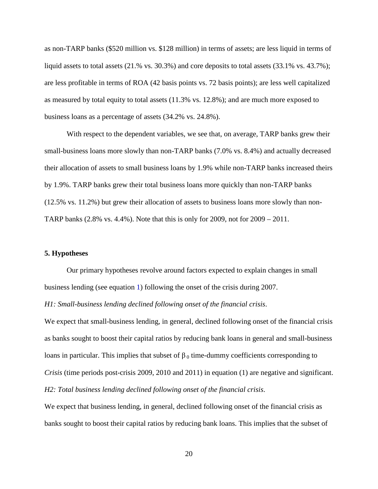as non-TARP banks (\$520 million vs. \$128 million) in terms of assets; are less liquid in terms of liquid assets to total assets (21.% vs. 30.3%) and core deposits to total assets (33.1% vs. 43.7%); are less profitable in terms of ROA (42 basis points vs. 72 basis points); are less well capitalized as measured by total equity to total assets (11.3% vs. 12.8%); and are much more exposed to business loans as a percentage of assets (34.2% vs. 24.8%).

With respect to the dependent variables, we see that, on average, TARP banks grew their small-business loans more slowly than non-TARP banks (7.0% vs. 8.4%) and actually decreased their allocation of assets to small business loans by 1.9% while non-TARP banks increased theirs by 1.9%. TARP banks grew their total business loans more quickly than non-TARP banks (12.5% vs. 11.2%) but grew their allocation of assets to business loans more slowly than non-TARP banks  $(2.8\% \text{ vs. } 4.4\%)$ . Note that this is only for  $2009$ , not for  $2009 - 2011$ .

#### <span id="page-23-0"></span>**5. Hypotheses**

Our primary hypotheses revolve around factors expected to explain changes in small business lending (see equation 1) following the onset of the crisis during 2007.

*H1: Small-business lending declined following onset of the financial crisis*.

We expect that small-business lending, in general, declined following onset of the financial crisis as banks sought to boost their capital ratios by reducing bank loans in general and small-business loans in particular. This implies that subset of  $β_0$  time-dummy coefficients corresponding to *Crisis* (time periods post-crisis 2009, 2010 and 2011) in equation (1) are negative and significant. *H2: Total business lending declined following onset of the financial crisis*.

We expect that business lending, in general, declined following onset of the financial crisis as banks sought to boost their capital ratios by reducing bank loans. This implies that the subset of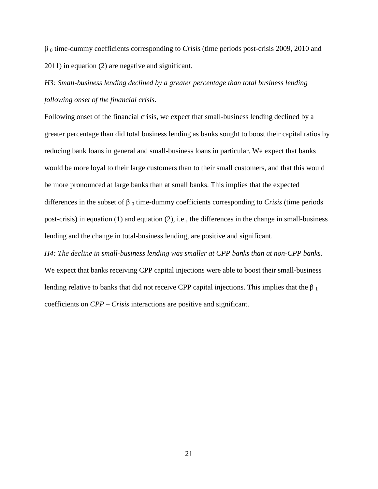β <sup>0</sup> time-dummy coefficients corresponding to *Crisis* (time periods post-crisis 2009, 2010 and 2011) in equation (2) are negative and significant.

# *H3: Small-business lending declined by a greater percentage than total business lending following onset of the financial crisis*.

Following onset of the financial crisis, we expect that small-business lending declined by a greater percentage than did total business lending as banks sought to boost their capital ratios by reducing bank loans in general and small-business loans in particular. We expect that banks would be more loyal to their large customers than to their small customers, and that this would be more pronounced at large banks than at small banks. This implies that the expected differences in the subset of  $β$ <sub>0</sub> time-dummy coefficients corresponding to *Crisis* (time periods post-crisis) in equation (1) and equation (2), i.e., the differences in the change in small-business lending and the change in total-business lending, are positive and significant.

*H4: The decline in small-business lending was smaller at CPP banks than at non-CPP banks*. We expect that banks receiving CPP capital injections were able to boost their small-business lending relative to banks that did not receive CPP capital injections. This implies that the  $\beta_1$ coefficients on *CPP* – *Crisis* interactions are positive and significant.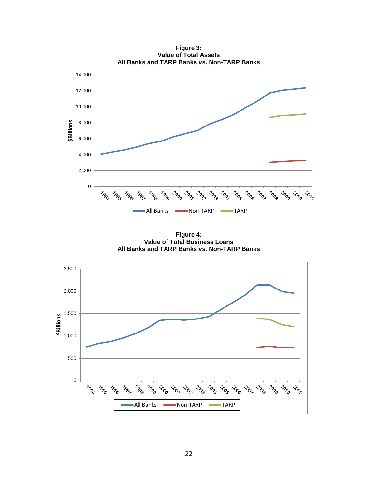14,000 12,000 10,000 **\$Billions** 8,000 6,000 4,000 2,000 0 2000  $-30^{17}$ 2002 **POD POGS POGE PORT** 2010 <sup>Toor</sup> <sup>199</sup> <sup>1990</sup> 2004  $-30^{17}$  $z_{\rm 0g}^{\rm 2}$ 1997 **POD POOS** <sup>1990</sup> -All Banks - Non-TARP - TARP

**Figure 3: Value of Total Assets All Banks and TARP Banks vs. Non-TARP Banks**

**Figure 4: Value of Total Business Loans All Banks and TARP Banks vs. Non-TARP Banks**

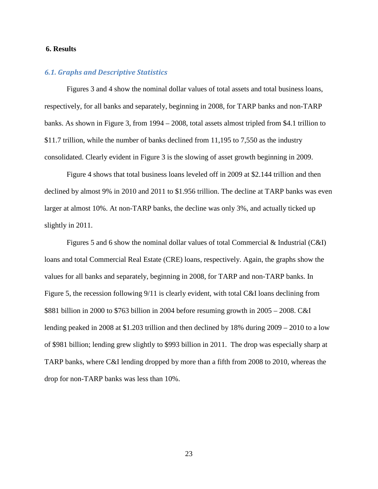#### <span id="page-26-0"></span>**6. Results**

#### <span id="page-26-1"></span>*6.1. Graphs and Descriptive Statistics*

Figures 3 and 4 show the nominal dollar values of total assets and total business loans, respectively, for all banks and separately, beginning in 2008, for TARP banks and non-TARP banks. As shown in Figure 3, from 1994 – 2008, total assets almost tripled from \$4.1 trillion to \$11.7 trillion, while the number of banks declined from 11,195 to 7,550 as the industry consolidated. Clearly evident in Figure 3 is the slowing of asset growth beginning in 2009.

Figure 4 shows that total business loans leveled off in 2009 at \$2.144 trillion and then declined by almost 9% in 2010 and 2011 to \$1.956 trillion. The decline at TARP banks was even larger at almost 10%. At non-TARP banks, the decline was only 3%, and actually ticked up slightly in 2011.

Figures 5 and 6 show the nominal dollar values of total Commercial & Industrial (C&I) loans and total Commercial Real Estate (CRE) loans, respectively. Again, the graphs show the values for all banks and separately, beginning in 2008, for TARP and non-TARP banks. In Figure 5, the recession following 9/11 is clearly evident, with total C&I loans declining from \$881 billion in 2000 to \$763 billion in 2004 before resuming growth in 2005 – 2008. C&I lending peaked in 2008 at \$1.203 trillion and then declined by 18% during 2009 – 2010 to a low of \$981 billion; lending grew slightly to \$993 billion in 2011. The drop was especially sharp at TARP banks, where C&I lending dropped by more than a fifth from 2008 to 2010, whereas the drop for non-TARP banks was less than 10%.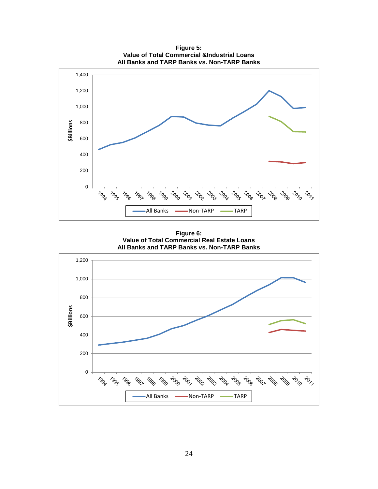

**Figure 5: Value of Total Commercial &Industrial Loans**

**Figure 6: Value of Total Commercial Real Estate Loans All Banks and TARP Banks vs. Non-TARP Banks**

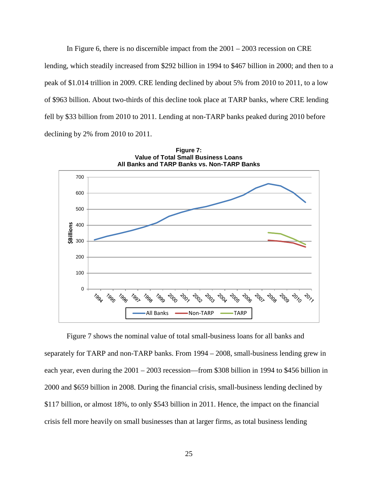In Figure 6, there is no discernible impact from the  $2001 - 2003$  recession on CRE lending, which steadily increased from \$292 billion in 1994 to \$467 billion in 2000; and then to a peak of \$1.014 trillion in 2009. CRE lending declined by about 5% from 2010 to 2011, to a low of \$963 billion. About two-thirds of this decline took place at TARP banks, where CRE lending fell by \$33 billion from 2010 to 2011. Lending at non-TARP banks peaked during 2010 before declining by 2% from 2010 to 2011.



Figure 7 shows the nominal value of total small-business loans for all banks and separately for TARP and non-TARP banks. From 1994 – 2008, small-business lending grew in each year, even during the 2001 – 2003 recession—from \$308 billion in 1994 to \$456 billion in 2000 and \$659 billion in 2008. During the financial crisis, small-business lending declined by \$117 billion, or almost 18%, to only \$543 billion in 2011. Hence, the impact on the financial crisis fell more heavily on small businesses than at larger firms, as total business lending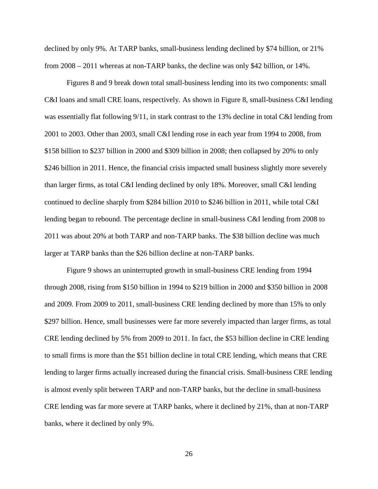declined by only 9%. At TARP banks, small-business lending declined by \$74 billion, or 21% from 2008 – 2011 whereas at non-TARP banks, the decline was only \$42 billion, or 14%.

Figures 8 and 9 break down total small-business lending into its two components: small C&I loans and small CRE loans, respectively. As shown in Figure 8, small-business C&I lending was essentially flat following 9/11, in stark contrast to the 13% decline in total C&I lending from 2001 to 2003. Other than 2003, small C&I lending rose in each year from 1994 to 2008, from \$158 billion to \$237 billion in 2000 and \$309 billion in 2008; then collapsed by 20% to only \$246 billion in 2011. Hence, the financial crisis impacted small business slightly more severely than larger firms, as total C&I lending declined by only 18%. Moreover, small C&I lending continued to decline sharply from \$284 billion 2010 to \$246 billion in 2011, while total C&I lending began to rebound. The percentage decline in small-business C&I lending from 2008 to 2011 was about 20% at both TARP and non-TARP banks. The \$38 billion decline was much larger at TARP banks than the \$26 billion decline at non-TARP banks.

Figure 9 shows an uninterrupted growth in small-business CRE lending from 1994 through 2008, rising from \$150 billion in 1994 to \$219 billion in 2000 and \$350 billion in 2008 and 2009. From 2009 to 2011, small-business CRE lending declined by more than 15% to only \$297 billion. Hence, small businesses were far more severely impacted than larger firms, as total CRE lending declined by 5% from 2009 to 2011. In fact, the \$53 billion decline in CRE lending to small firms is more than the \$51 billion decline in total CRE lending, which means that CRE lending to larger firms actually increased during the financial crisis. Small-business CRE lending is almost evenly split between TARP and non-TARP banks, but the decline in small-business CRE lending was far more severe at TARP banks, where it declined by 21%, than at non-TARP banks, where it declined by only 9%.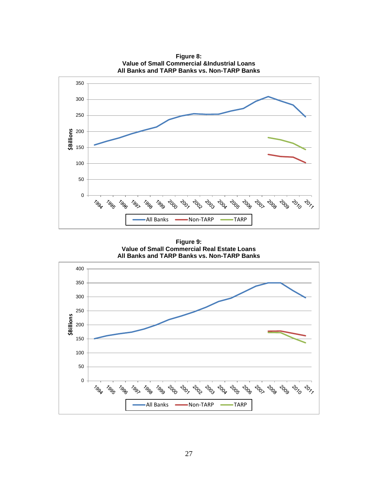

**Figure 9: Value of Small Commercial Real Estate Loans All Banks and TARP Banks vs. Non-TARP Banks**

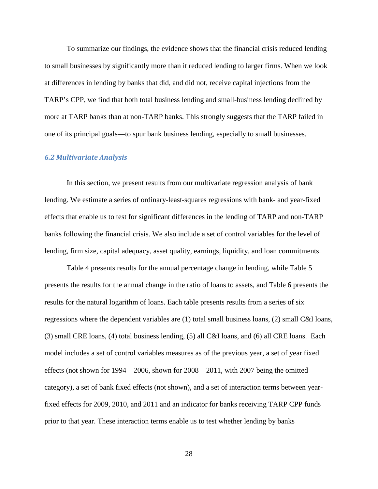To summarize our findings, the evidence shows that the financial crisis reduced lending to small businesses by significantly more than it reduced lending to larger firms. When we look at differences in lending by banks that did, and did not, receive capital injections from the TARP's CPP, we find that both total business lending and small-business lending declined by more at TARP banks than at non-TARP banks. This strongly suggests that the TARP failed in one of its principal goals—to spur bank business lending, especially to small businesses.

#### <span id="page-31-0"></span>*6.2 Multivariate Analysis*

In this section, we present results from our multivariate regression analysis of bank lending. We estimate a series of ordinary-least-squares regressions with bank- and year-fixed effects that enable us to test for significant differences in the lending of TARP and non-TARP banks following the financial crisis. We also include a set of control variables for the level of lending, firm size, capital adequacy, asset quality, earnings, liquidity, and loan commitments.

Table 4 presents results for the annual percentage change in lending, while Table 5 presents the results for the annual change in the ratio of loans to assets, and Table 6 presents the results for the natural logarithm of loans. Each table presents results from a series of six regressions where the dependent variables are (1) total small business loans, (2) small C&I loans, (3) small CRE loans, (4) total business lending, (5) all C&I loans, and (6) all CRE loans. Each model includes a set of control variables measures as of the previous year, a set of year fixed effects (not shown for  $1994 - 2006$ , shown for  $2008 - 2011$ , with  $2007$  being the omitted category), a set of bank fixed effects (not shown), and a set of interaction terms between yearfixed effects for 2009, 2010, and 2011 and an indicator for banks receiving TARP CPP funds prior to that year. These interaction terms enable us to test whether lending by banks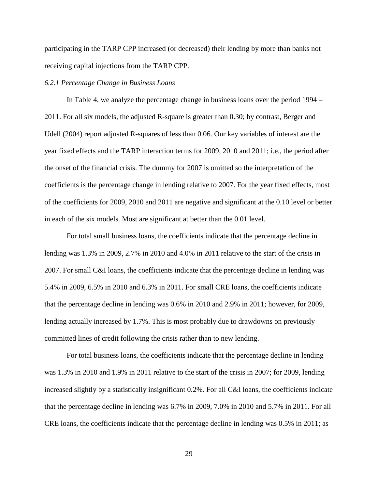participating in the TARP CPP increased (or decreased) their lending by more than banks not receiving capital injections from the TARP CPP.

#### *6.2.1 Percentage Change in Business Loans*

In Table 4, we analyze the percentage change in business loans over the period 1994 – 2011. For all six models, the adjusted R-square is greater than 0.30; by contrast, Berger and Udell (2004) report adjusted R-squares of less than 0.06. Our key variables of interest are the year fixed effects and the TARP interaction terms for 2009, 2010 and 2011; i.e., the period after the onset of the financial crisis. The dummy for 2007 is omitted so the interpretation of the coefficients is the percentage change in lending relative to 2007. For the year fixed effects, most of the coefficients for 2009, 2010 and 2011 are negative and significant at the 0.10 level or better in each of the six models. Most are significant at better than the 0.01 level.

For total small business loans, the coefficients indicate that the percentage decline in lending was 1.3% in 2009, 2.7% in 2010 and 4.0% in 2011 relative to the start of the crisis in 2007. For small C&I loans, the coefficients indicate that the percentage decline in lending was 5.4% in 2009, 6.5% in 2010 and 6.3% in 2011. For small CRE loans, the coefficients indicate that the percentage decline in lending was 0.6% in 2010 and 2.9% in 2011; however, for 2009, lending actually increased by 1.7%. This is most probably due to drawdowns on previously committed lines of credit following the crisis rather than to new lending.

For total business loans, the coefficients indicate that the percentage decline in lending was 1.3% in 2010 and 1.9% in 2011 relative to the start of the crisis in 2007; for 2009, lending increased slightly by a statistically insignificant 0.2%. For all C&I loans, the coefficients indicate that the percentage decline in lending was 6.7% in 2009, 7.0% in 2010 and 5.7% in 2011. For all CRE loans, the coefficients indicate that the percentage decline in lending was 0.5% in 2011; as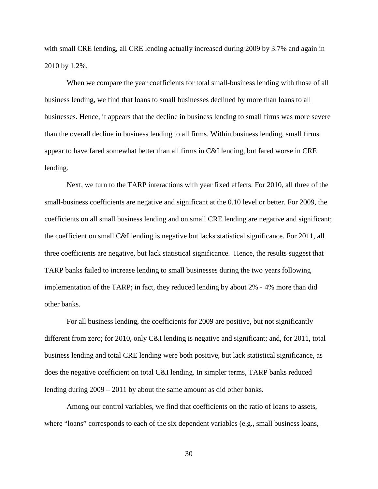with small CRE lending, all CRE lending actually increased during 2009 by 3.7% and again in 2010 by 1.2%.

When we compare the year coefficients for total small-business lending with those of all business lending, we find that loans to small businesses declined by more than loans to all businesses. Hence, it appears that the decline in business lending to small firms was more severe than the overall decline in business lending to all firms. Within business lending, small firms appear to have fared somewhat better than all firms in C&I lending, but fared worse in CRE lending.

Next, we turn to the TARP interactions with year fixed effects. For 2010, all three of the small-business coefficients are negative and significant at the 0.10 level or better. For 2009, the coefficients on all small business lending and on small CRE lending are negative and significant; the coefficient on small C&I lending is negative but lacks statistical significance. For 2011, all three coefficients are negative, but lack statistical significance. Hence, the results suggest that TARP banks failed to increase lending to small businesses during the two years following implementation of the TARP; in fact, they reduced lending by about 2% - 4% more than did other banks.

For all business lending, the coefficients for 2009 are positive, but not significantly different from zero; for 2010, only C&I lending is negative and significant; and, for 2011, total business lending and total CRE lending were both positive, but lack statistical significance, as does the negative coefficient on total C&I lending. In simpler terms, TARP banks reduced lending during 2009 – 2011 by about the same amount as did other banks.

Among our control variables, we find that coefficients on the ratio of loans to assets, where "loans" corresponds to each of the six dependent variables (e.g., small business loans,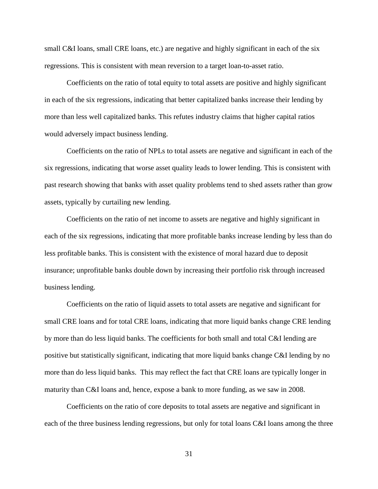small C&I loans, small CRE loans, etc.) are negative and highly significant in each of the six regressions. This is consistent with mean reversion to a target loan-to-asset ratio.

Coefficients on the ratio of total equity to total assets are positive and highly significant in each of the six regressions, indicating that better capitalized banks increase their lending by more than less well capitalized banks. This refutes industry claims that higher capital ratios would adversely impact business lending.

Coefficients on the ratio of NPLs to total assets are negative and significant in each of the six regressions, indicating that worse asset quality leads to lower lending. This is consistent with past research showing that banks with asset quality problems tend to shed assets rather than grow assets, typically by curtailing new lending.

Coefficients on the ratio of net income to assets are negative and highly significant in each of the six regressions, indicating that more profitable banks increase lending by less than do less profitable banks. This is consistent with the existence of moral hazard due to deposit insurance; unprofitable banks double down by increasing their portfolio risk through increased business lending.

Coefficients on the ratio of liquid assets to total assets are negative and significant for small CRE loans and for total CRE loans, indicating that more liquid banks change CRE lending by more than do less liquid banks. The coefficients for both small and total C&I lending are positive but statistically significant, indicating that more liquid banks change C&I lending by no more than do less liquid banks. This may reflect the fact that CRE loans are typically longer in maturity than C&I loans and, hence, expose a bank to more funding, as we saw in 2008.

Coefficients on the ratio of core deposits to total assets are negative and significant in each of the three business lending regressions, but only for total loans C&I loans among the three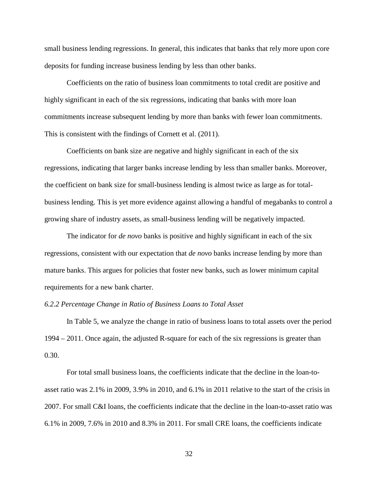small business lending regressions. In general, this indicates that banks that rely more upon core deposits for funding increase business lending by less than other banks.

Coefficients on the ratio of business loan commitments to total credit are positive and highly significant in each of the six regressions, indicating that banks with more loan commitments increase subsequent lending by more than banks with fewer loan commitments. This is consistent with the findings of Cornett et al. (2011).

Coefficients on bank size are negative and highly significant in each of the six regressions, indicating that larger banks increase lending by less than smaller banks. Moreover, the coefficient on bank size for small-business lending is almost twice as large as for totalbusiness lending. This is yet more evidence against allowing a handful of megabanks to control a growing share of industry assets, as small-business lending will be negatively impacted.

The indicator for *de novo* banks is positive and highly significant in each of the six regressions, consistent with our expectation that *de novo* banks increase lending by more than mature banks. This argues for policies that foster new banks, such as lower minimum capital requirements for a new bank charter.

#### *6.2.2 Percentage Change in Ratio of Business Loans to Total Asset*

In Table 5, we analyze the change in ratio of business loans to total assets over the period 1994 – 2011. Once again, the adjusted R-square for each of the six regressions is greater than 0.30.

For total small business loans, the coefficients indicate that the decline in the loan-toasset ratio was 2.1% in 2009, 3.9% in 2010, and 6.1% in 2011 relative to the start of the crisis in 2007. For small C&I loans, the coefficients indicate that the decline in the loan-to-asset ratio was 6.1% in 2009, 7.6% in 2010 and 8.3% in 2011. For small CRE loans, the coefficients indicate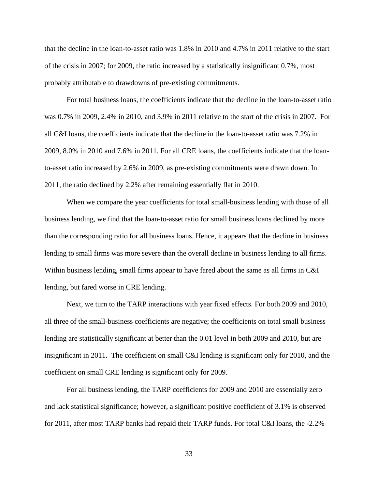that the decline in the loan-to-asset ratio was 1.8% in 2010 and 4.7% in 2011 relative to the start of the crisis in 2007; for 2009, the ratio increased by a statistically insignificant 0.7%, most probably attributable to drawdowns of pre-existing commitments.

For total business loans, the coefficients indicate that the decline in the loan-to-asset ratio was 0.7% in 2009, 2.4% in 2010, and 3.9% in 2011 relative to the start of the crisis in 2007. For all C&I loans, the coefficients indicate that the decline in the loan-to-asset ratio was 7.2% in 2009, 8.0% in 2010 and 7.6% in 2011. For all CRE loans, the coefficients indicate that the loanto-asset ratio increased by 2.6% in 2009, as pre-existing commitments were drawn down. In 2011, the ratio declined by 2.2% after remaining essentially flat in 2010.

When we compare the year coefficients for total small-business lending with those of all business lending, we find that the loan-to-asset ratio for small business loans declined by more than the corresponding ratio for all business loans. Hence, it appears that the decline in business lending to small firms was more severe than the overall decline in business lending to all firms. Within business lending, small firms appear to have fared about the same as all firms in C&I lending, but fared worse in CRE lending.

Next, we turn to the TARP interactions with year fixed effects. For both 2009 and 2010, all three of the small-business coefficients are negative; the coefficients on total small business lending are statistically significant at better than the 0.01 level in both 2009 and 2010, but are insignificant in 2011. The coefficient on small C&I lending is significant only for 2010, and the coefficient on small CRE lending is significant only for 2009.

For all business lending, the TARP coefficients for 2009 and 2010 are essentially zero and lack statistical significance; however, a significant positive coefficient of 3.1% is observed for 2011, after most TARP banks had repaid their TARP funds. For total C&I loans, the -2.2%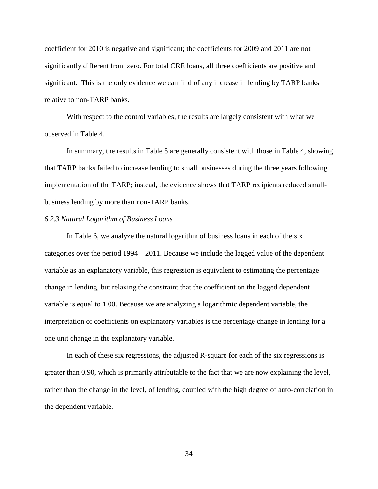coefficient for 2010 is negative and significant; the coefficients for 2009 and 2011 are not significantly different from zero. For total CRE loans, all three coefficients are positive and significant. This is the only evidence we can find of any increase in lending by TARP banks relative to non-TARP banks.

With respect to the control variables, the results are largely consistent with what we observed in Table 4.

In summary, the results in Table 5 are generally consistent with those in Table 4, showing that TARP banks failed to increase lending to small businesses during the three years following implementation of the TARP; instead, the evidence shows that TARP recipients reduced smallbusiness lending by more than non-TARP banks.

#### *6.2.3 Natural Logarithm of Business Loans*

In Table 6, we analyze the natural logarithm of business loans in each of the six categories over the period 1994 – 2011. Because we include the lagged value of the dependent variable as an explanatory variable, this regression is equivalent to estimating the percentage change in lending, but relaxing the constraint that the coefficient on the lagged dependent variable is equal to 1.00. Because we are analyzing a logarithmic dependent variable, the interpretation of coefficients on explanatory variables is the percentage change in lending for a one unit change in the explanatory variable.

In each of these six regressions, the adjusted R-square for each of the six regressions is greater than 0.90, which is primarily attributable to the fact that we are now explaining the level, rather than the change in the level, of lending, coupled with the high degree of auto-correlation in the dependent variable.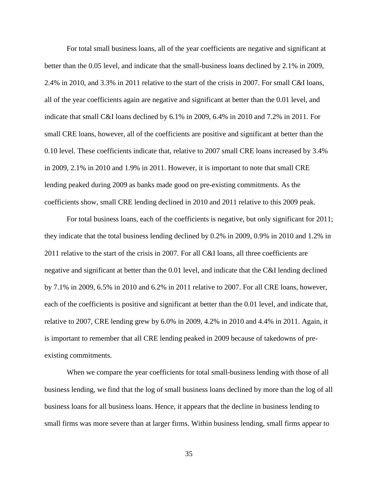For total small business loans, all of the year coefficients are negative and significant at better than the 0.05 level, and indicate that the small-business loans declined by 2.1% in 2009, 2.4% in 2010, and 3.3% in 2011 relative to the start of the crisis in 2007. For small C&I loans, all of the year coefficients again are negative and significant at better than the 0.01 level, and indicate that small C&I loans declined by 6.1% in 2009, 6.4% in 2010 and 7.2% in 2011. For small CRE loans, however, all of the coefficients are positive and significant at better than the 0.10 level. These coefficients indicate that, relative to 2007 small CRE loans increased by 3.4% in 2009, 2.1% in 2010 and 1.9% in 2011. However, it is important to note that small CRE lending peaked during 2009 as banks made good on pre-existing commitments. As the coefficients show, small CRE lending declined in 2010 and 2011 relative to this 2009 peak.

For total business loans, each of the coefficients is negative, but only significant for 2011; they indicate that the total business lending declined by 0.2% in 2009, 0.9% in 2010 and 1.2% in 2011 relative to the start of the crisis in 2007. For all C&I loans, all three coefficients are negative and significant at better than the 0.01 level, and indicate that the C&I lending declined by 7.1% in 2009, 6.5% in 2010 and 6.2% in 2011 relative to 2007. For all CRE loans, however, each of the coefficients is positive and significant at better than the 0.01 level, and indicate that, relative to 2007, CRE lending grew by 6.0% in 2009, 4.2% in 2010 and 4.4% in 2011. Again, it is important to remember that all CRE lending peaked in 2009 because of takedowns of preexisting commitments.

When we compare the year coefficients for total small-business lending with those of all business lending, we find that the log of small business loans declined by more than the log of all business loans for all business loans. Hence, it appears that the decline in business lending to small firms was more severe than at larger firms. Within business lending, small firms appear to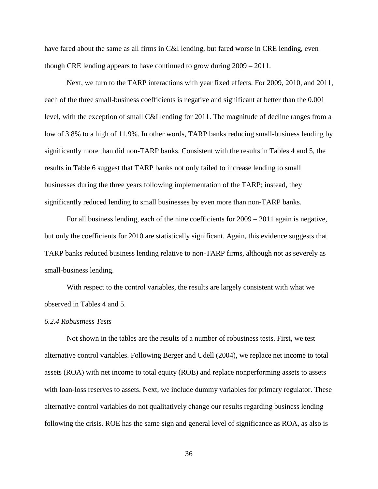have fared about the same as all firms in C&I lending, but fared worse in CRE lending, even though CRE lending appears to have continued to grow during 2009 – 2011.

Next, we turn to the TARP interactions with year fixed effects. For 2009, 2010, and 2011, each of the three small-business coefficients is negative and significant at better than the 0.001 level, with the exception of small C&I lending for 2011. The magnitude of decline ranges from a low of 3.8% to a high of 11.9%. In other words, TARP banks reducing small-business lending by significantly more than did non-TARP banks. Consistent with the results in Tables 4 and 5, the results in Table 6 suggest that TARP banks not only failed to increase lending to small businesses during the three years following implementation of the TARP; instead, they significantly reduced lending to small businesses by even more than non-TARP banks.

For all business lending, each of the nine coefficients for 2009 – 2011 again is negative, but only the coefficients for 2010 are statistically significant. Again, this evidence suggests that TARP banks reduced business lending relative to non-TARP firms, although not as severely as small-business lending.

With respect to the control variables, the results are largely consistent with what we observed in Tables 4 and 5.

#### *6.2.4 Robustness Tests*

Not shown in the tables are the results of a number of robustness tests. First, we test alternative control variables. Following Berger and Udell (2004), we replace net income to total assets (ROA) with net income to total equity (ROE) and replace nonperforming assets to assets with loan-loss reserves to assets. Next, we include dummy variables for primary regulator. These alternative control variables do not qualitatively change our results regarding business lending following the crisis. ROE has the same sign and general level of significance as ROA, as also is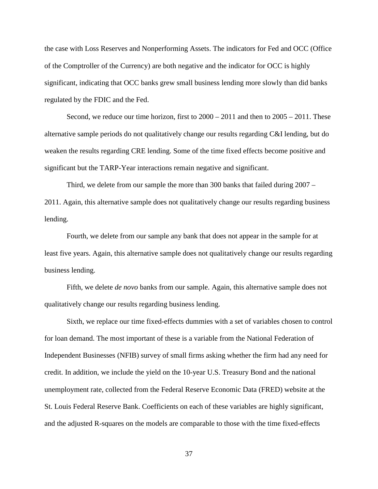the case with Loss Reserves and Nonperforming Assets. The indicators for Fed and OCC (Office of the Comptroller of the Currency) are both negative and the indicator for OCC is highly significant, indicating that OCC banks grew small business lending more slowly than did banks regulated by the FDIC and the Fed.

Second, we reduce our time horizon, first to  $2000 - 2011$  and then to  $2005 - 2011$ . These alternative sample periods do not qualitatively change our results regarding C&I lending, but do weaken the results regarding CRE lending. Some of the time fixed effects become positive and significant but the TARP-Year interactions remain negative and significant.

Third, we delete from our sample the more than 300 banks that failed during 2007 – 2011. Again, this alternative sample does not qualitatively change our results regarding business lending.

Fourth, we delete from our sample any bank that does not appear in the sample for at least five years. Again, this alternative sample does not qualitatively change our results regarding business lending.

Fifth, we delete *de novo* banks from our sample. Again, this alternative sample does not qualitatively change our results regarding business lending.

Sixth, we replace our time fixed-effects dummies with a set of variables chosen to control for loan demand. The most important of these is a variable from the National Federation of Independent Businesses (NFIB) survey of small firms asking whether the firm had any need for credit. In addition, we include the yield on the 10-year U.S. Treasury Bond and the national unemployment rate, collected from the Federal Reserve Economic Data (FRED) website at the St. Louis Federal Reserve Bank. Coefficients on each of these variables are highly significant, and the adjusted R-squares on the models are comparable to those with the time fixed-effects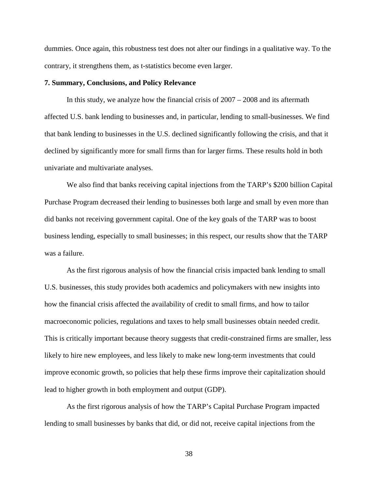dummies. Once again, this robustness test does not alter our findings in a qualitative way. To the contrary, it strengthens them, as t-statistics become even larger.

#### <span id="page-41-0"></span>**7. Summary, Conclusions, and Policy Relevance**

In this study, we analyze how the financial crisis of 2007 – 2008 and its aftermath affected U.S. bank lending to businesses and, in particular, lending to small-businesses. We find that bank lending to businesses in the U.S. declined significantly following the crisis, and that it declined by significantly more for small firms than for larger firms. These results hold in both univariate and multivariate analyses.

We also find that banks receiving capital injections from the TARP's \$200 billion Capital Purchase Program decreased their lending to businesses both large and small by even more than did banks not receiving government capital. One of the key goals of the TARP was to boost business lending, especially to small businesses; in this respect, our results show that the TARP was a failure.

As the first rigorous analysis of how the financial crisis impacted bank lending to small U.S. businesses, this study provides both academics and policymakers with new insights into how the financial crisis affected the availability of credit to small firms, and how to tailor macroeconomic policies, regulations and taxes to help small businesses obtain needed credit. This is critically important because theory suggests that credit-constrained firms are smaller, less likely to hire new employees, and less likely to make new long-term investments that could improve economic growth, so policies that help these firms improve their capitalization should lead to higher growth in both employment and output (GDP).

As the first rigorous analysis of how the TARP's Capital Purchase Program impacted lending to small businesses by banks that did, or did not, receive capital injections from the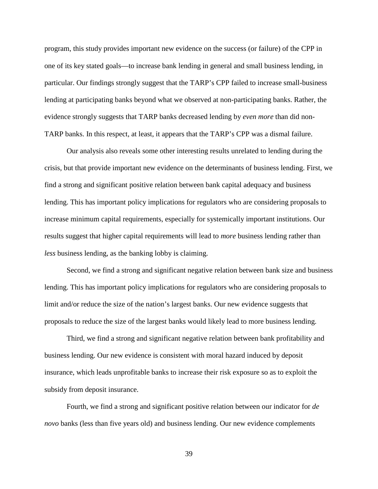program, this study provides important new evidence on the success (or failure) of the CPP in one of its key stated goals—to increase bank lending in general and small business lending, in particular. Our findings strongly suggest that the TARP's CPP failed to increase small-business lending at participating banks beyond what we observed at non-participating banks. Rather, the evidence strongly suggests that TARP banks decreased lending by *even more* than did non-TARP banks. In this respect, at least, it appears that the TARP's CPP was a dismal failure.

Our analysis also reveals some other interesting results unrelated to lending during the crisis, but that provide important new evidence on the determinants of business lending. First, we find a strong and significant positive relation between bank capital adequacy and business lending. This has important policy implications for regulators who are considering proposals to increase minimum capital requirements, especially for systemically important institutions. Our results suggest that higher capital requirements will lead to *more* business lending rather than *less* business lending, as the banking lobby is claiming.

Second, we find a strong and significant negative relation between bank size and business lending. This has important policy implications for regulators who are considering proposals to limit and/or reduce the size of the nation's largest banks. Our new evidence suggests that proposals to reduce the size of the largest banks would likely lead to more business lending.

Third, we find a strong and significant negative relation between bank profitability and business lending. Our new evidence is consistent with moral hazard induced by deposit insurance, which leads unprofitable banks to increase their risk exposure so as to exploit the subsidy from deposit insurance.

Fourth, we find a strong and significant positive relation between our indicator for *de novo* banks (less than five years old) and business lending. Our new evidence complements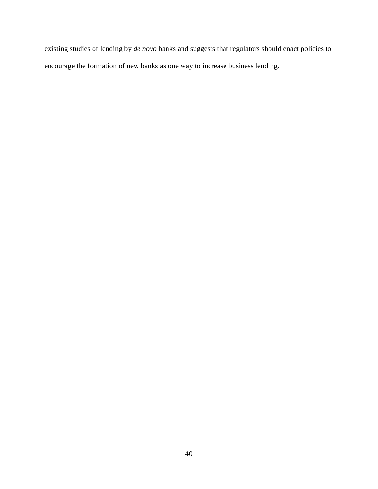existing studies of lending by *de novo* banks and suggests that regulators should enact policies to encourage the formation of new banks as one way to increase business lending.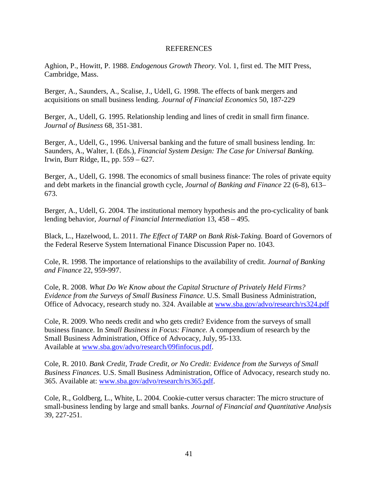#### REFERENCES

<span id="page-44-0"></span>Aghion, P., Howitt, P. 1988. *Endogenous Growth Theory.* Vol. 1, first ed. The MIT Press, Cambridge, Mass.

Berger, A., Saunders, A., Scalise, J., Udell, G. 1998. The effects of bank mergers and acquisitions on small business lending. *Journal of Financial Economics* 50, 187-229

Berger, A., Udell, G. 1995. Relationship lending and lines of credit in small firm finance. *Journal of Business* 68, 351-381.

Berger, A., Udell, G., 1996. Universal banking and the future of small business lending. In: Saunders, A., Walter, I. (Eds.), *Financial System Design: The Case for Universal Banking.* Irwin, Burr Ridge, IL, pp. 559 – 627.

Berger, A., Udell, G. 1998. The economics of small business finance: The roles of private equity and debt markets in the financial growth cycle, *Journal of Banking and Finance* 22 (6-8), 613– 673.

Berger, A., Udell, G. 2004. The institutional memory hypothesis and the pro-cyclicality of bank lending behavior, *Journal of Financial Intermediation* 13, 458 – 495.

Black, L., Hazelwood, L. 2011. *The Effect of TARP on Bank Risk-Taking.* Board of Governors of the Federal Reserve System International Finance Discussion Paper no. 1043.

Cole, R. 1998. The importance of relationships to the availability of credit. *Journal of Banking and Finance* 22, 959-997.

Cole, R. 2008. *What Do We Know about the Capital Structure of Privately Held Firms? Evidence from the Surveys of Small Business Finance.* U.S. Small Business Administration, Office of Advocacy, research study no. 324. Available at [www.sba.gov/advo/research/rs324.pdf](http://www.sba.gov/advo/research/rs324.pdf)

Cole, R. 2009. Who needs credit and who gets credit? Evidence from the surveys of small business finance. In *Small Business in Focus: Finance.* A compendium of research by the Small Business Administration, Office of Advocacy, July, 95-133. Available at [www.sba.gov/advo/research/09finfocus.pdf.](http://www.sba.gov/advo/research/09finfocus.pdf)

Cole, R. 2010. *Bank Credit, Trade Credit, or No Credit: Evidence from the Surveys of Small Business Finances.* U.S. Small Business Administration, Office of Advocacy, research study no. 365. Available at: [www.sba.gov/advo/research/rs365.pdf.](http://www.sba.gov/advo/research/rs365.pdf)

Cole, R., Goldberg, L., White, L. 2004. Cookie-cutter versus character: The micro structure of small-business lending by large and small banks. *Journal of Financial and Quantitative Analysis* 39, 227-251.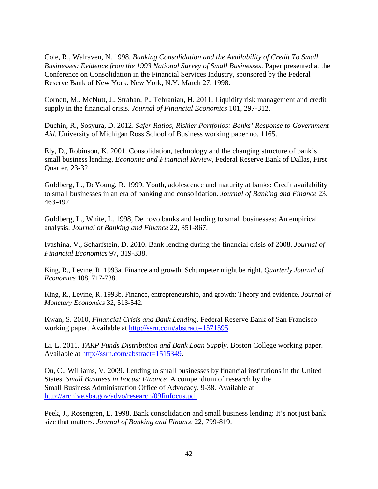Cole, R., Walraven, N. 1998. *Banking Consolidation and the Availability of Credit To Small Businesses: Evidence from the 1993 National Survey of Small Businesses.* Paper presented at the Conference on Consolidation in the Financial Services Industry, sponsored by the Federal Reserve Bank of New York. New York, N.Y. March 27, 1998.

Cornett, M., McNutt, J., Strahan, P., Tehranian, H. 2011. Liquidity risk management and credit supply in the financial crisis. *Journal of Financial Economics* 101, 297-312.

Duchin, R., Sosyura, D. 2012. *Safer Ratios, Riskier Portfolios: Banks' Response to Government Aid.* University of Michigan Ross School of Business working paper no. 1165.

Ely, D., Robinson, K. 2001. Consolidation, technology and the changing structure of bank's small business lending. *Economic and Financial Review,* Federal Reserve Bank of Dallas, First Quarter, 23-32.

Goldberg, L., DeYoung, R. 1999. Youth, adolescence and maturity at banks: Credit availability to small businesses in an era of banking and consolidation. *Journal of Banking and Finance* 23, 463-492.

Goldberg, L., White, L. 1998, De novo banks and lending to small businesses: An empirical analysis. *Journal of Banking and Finance* 22, 851-867.

Ivashina, V., Scharfstein, D. 2010. Bank lending during the financial crisis of 2008. *Journal of Financial Economics* 97, 319-338.

King, R., Levine, R. 1993a. Finance and growth: Schumpeter might be right. *Quarterly Journal of Economics* 108, 717-738.

King, R., Levine, R. 1993b. Finance, entrepreneurship, and growth: Theory and evidence. *Journal of Monetary Economics* 32, 513-542.

Kwan, S. 2010, *Financial Crisis and Bank Lending.* Federal Reserve Bank of San Francisco working paper. Available at [http://ssrn.com/abstract=1571595.](http://ssrn.com/abstract=1571595)

Li, L. 2011. *TARP Funds Distribution and Bank Loan Supply.* Boston College working paper. Available at [http://ssrn.com/abstract=1515349.](http://ssrn.com/abstract=1515349)

Ou, C., Williams, V. 2009. Lending to small businesses by financial institutions in the United States. *Small Business in Focus: Finance.* A compendium of research by the Small Business Administration Office of Advocacy, 9-38. Available at [http://archive.sba.gov/advo/research/09finfocus.pdf.](http://archive.sba.gov/advo/research/09finfocus.pdf)

Peek, J., Rosengren, E. 1998. Bank consolidation and small business lending: It's not just bank size that matters. *Journal of Banking and Finance* 22, 799-819.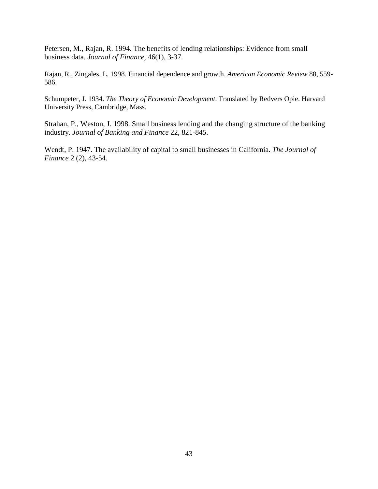Petersen, M., Rajan, R. 1994. The benefits of lending relationships: Evidence from small business data. *Journal of Finance*, 46(1), 3-37.

Rajan, R., Zingales, L. 1998. Financial dependence and growth. *American Economic Review* 88, 559- 586.

Schumpeter, J. 1934. *The Theory of Economic Development*. Translated by Redvers Opie. Harvard University Press, Cambridge, Mass.

Strahan, P., Weston, J. 1998. Small business lending and the changing structure of the banking industry. *Journal of Banking and Finance* 22, 821-845.

Wendt, P. 1947. The availability of capital to small businesses in California. *The Journal of Finance* 2 (2), 43-54.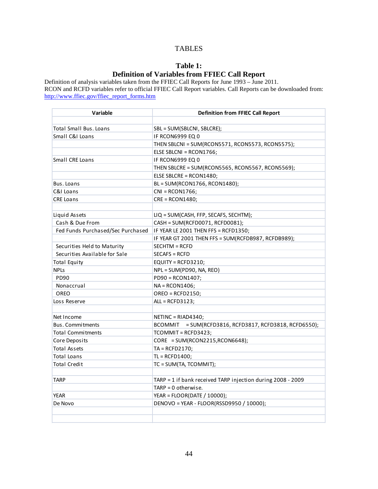## TABLES

# **Table 1: Definition of Variables from FFIEC Call Report**

<span id="page-47-0"></span>Definition of analysis variables taken from the FFIEC Call Reports for June 1993 – June 2011. RCON and RCFD variables refer to official FFIEC Call Report variables. Call Reports can be downloaded from: http://www.ffiec.gov/ffiec\_report\_forms.htm

| Variable                          | <b>Definition from FFIEC Call Report</b>                         |
|-----------------------------------|------------------------------------------------------------------|
|                                   |                                                                  |
| <b>Total Small Bus, Loans</b>     | SBL = SUM(SBLCNI, SBLCRE);                                       |
| Small C&I Loans                   | <b>IF RCON6999 EQ 0</b>                                          |
|                                   | THEN SBLCNI = SUM(RCON5571, RCON5573, RCON5575);                 |
|                                   | ELSE SBLCNI = RCON1766;                                          |
| Small CRE Loans                   | IF RCON6999 EQ 0                                                 |
|                                   | THEN SBLCRE = SUM(RCON5565, RCON5567, RCON5569);                 |
|                                   | ELSE SBLCRE = RCON1480;                                          |
| Bus. Loans                        | BL = SUM(RCON1766, RCON1480);                                    |
| C&I Loans                         | $CNI = RCON1766;$                                                |
| <b>CRE Loans</b>                  | $CRE = RCON1480;$                                                |
|                                   |                                                                  |
| Liquid Assets                     | LIQ = SUM(CASH, FFP, SECAFS, SECHTM);                            |
| Cash & Due From                   | CASH = SUM(RCFD0071, RCFD0081);                                  |
| Fed Funds Purchased/Sec Purchased | IF YEAR LE 2001 THEN FFS = RCFD1350;                             |
|                                   | IF YEAR GT 2001 THEN FFS = SUM(RCFDB987, RCFDB989);              |
| Securities Held to Maturity       | $SECHTM = RCFD$                                                  |
| Securities Available for Sale     | $SECAFS = RCFD$                                                  |
| <b>Total Equity</b>               | EQUITY = $RCFD3210$ ;                                            |
| <b>NPLs</b>                       | NPL = SUM(PD90, NA, REO)                                         |
| PD90                              | $PD90 = RCON1407;$                                               |
| Nonaccrual                        | $NA = RCON1406$ ;                                                |
| <b>OREO</b>                       | $OREO = RCFD2150$ ;                                              |
| Loss Reserve                      | $ALL = RCFD3123;$                                                |
|                                   |                                                                  |
| Net Income                        | $NETINC = RIAD4340;$                                             |
| <b>Bus. Commitments</b>           | = SUM(RCFD3816, RCFD3817, RCFD3818, RCFD6550);<br><b>BCOMMIT</b> |
| <b>Total Commitments</b>          | TCOMMIT = RCFD3423;                                              |
| Core Deposits                     | $CORE = SUM(RCON2215, RCON6648);$                                |
| <b>Total Assets</b>               | $TA = RCFD2170;$                                                 |
| <b>Total Loans</b>                | $TL = RCFD1400;$                                                 |
| <b>Total Credit</b>               | TC = SUM(TA, TCOMMIT);                                           |
|                                   |                                                                  |
| <b>TARP</b>                       | TARP = 1 if bank received TARP injection during 2008 - 2009      |
|                                   | $TARP = 0 otherwise.$                                            |
| <b>YEAR</b>                       | YEAR = FLOOR(DATE / 10000);                                      |
| De Novo                           | DENOVO = YEAR - FLOOR(RSSD9950 / 10000);                         |
|                                   |                                                                  |
|                                   |                                                                  |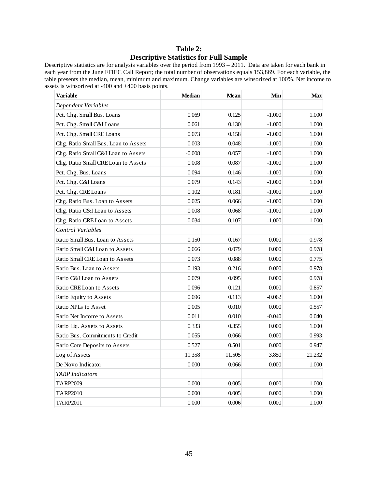# **Table 2: Descriptive Statistics for Full Sample**

Descriptive statistics are for analysis variables over the period from 1993 – 2011. Data are taken for each bank in each year from the June FFIEC Call Report; the total number of observations equals 153,869. For each variable, the table presents the median, mean, minimum and maximum. Change variables are winsorized at 100%. Net income to assets is winsorized at -400 and +400 basis points.

| Variable                             | <b>Median</b> | <b>Mean</b> | Min      | <b>Max</b> |
|--------------------------------------|---------------|-------------|----------|------------|
| Dependent Variables                  |               |             |          |            |
| Pct. Chg. Small Bus. Loans           | 0.069         | 0.125       | $-1.000$ | 1.000      |
| Pct. Chg. Small C&I Loans            | 0.061         | 0.130       | $-1.000$ | 1.000      |
| Pct. Chg. Small CRE Loans            | 0.073         | 0.158       | $-1.000$ | 1.000      |
| Chg. Ratio Small Bus. Loan to Assets | 0.003         | 0.048       | $-1.000$ | 1.000      |
| Chg. Ratio Small C&I Loan to Assets  | $-0.008$      | 0.057       | $-1.000$ | 1.000      |
| Chg. Ratio Small CRE Loan to Assets  | 0.008         | 0.087       | $-1.000$ | 1.000      |
| Pct. Chg. Bus. Loans                 | 0.094         | 0.146       | $-1.000$ | 1.000      |
| Pct. Chg. C&I Loans                  | 0.079         | 0.143       | $-1.000$ | 1.000      |
| Pct. Chg. CRE Loans                  | 0.102         | 0.181       | $-1.000$ | 1.000      |
| Chg. Ratio Bus. Loan to Assets       | 0.025         | 0.066       | $-1.000$ | 1.000      |
| Chg. Ratio C&I Loan to Assets        | 0.008         | 0.068       | $-1.000$ | 1.000      |
| Chg. Ratio CRE Loan to Assets        | 0.034         | 0.107       | $-1.000$ | 1.000      |
| Control Variables                    |               |             |          |            |
| Ratio Small Bus. Loan to Assets      | 0.150         | 0.167       | 0.000    | 0.978      |
| Ratio Small C&I Loan to Assets       | 0.066         | 0.079       | 0.000    | 0.978      |
| Ratio Small CRE Loan to Assets       | 0.073         | 0.088       | 0.000    | 0.775      |
| Ratio Bus. Loan to Assets            | 0.193         | 0.216       | 0.000    | 0.978      |
| Ratio C&I Loan to Assets             | 0.079         | 0.095       | 0.000    | 0.978      |
| Ratio CRE Loan to Assets             | 0.096         | 0.121       | 0.000    | 0.857      |
| Ratio Equity to Assets               | 0.096         | 0.113       | $-0.062$ | 1.000      |
| Ratio NPLs to Asset                  | 0.005         | 0.010       | 0.000    | 0.557      |
| Ratio Net Income to Assets           | 0.011         | 0.010       | $-0.040$ | 0.040      |
| Ratio Liq. Assets to Assets          | 0.333         | 0.355       | 0.000    | 1.000      |
| Ratio Bus. Commitments to Credit     | 0.055         | 0.066       | 0.000    | 0.993      |
| Ratio Core Deposits to Assets        | 0.527         | 0.501       | 0.000    | 0.947      |
| Log of Assets                        | 11.358        | 11.505      | 3.850    | 21.232     |
| De Novo Indicator                    | 0.000         | 0.066       | 0.000    | 1.000      |
| <b>TARP</b> Indicators               |               |             |          |            |
| TARP2009                             | 0.000         | 0.005       | 0.000    | 1.000      |
| TARP2010                             | 0.000         | 0.005       | 0.000    | 1.000      |
| TARP2011                             | 0.000         | 0.006       | 0.000    | 1.000      |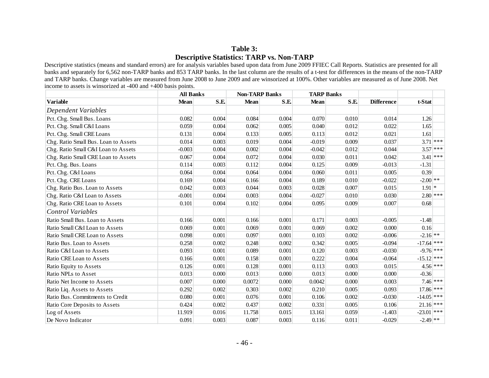# **Table 3: Descriptive Statistics: TARP vs. Non-TARP**

Descriptive statistics (means and standard errors) are for analysis variables based upon data from June 2009 FFIEC Call Reports. Statistics are presented for all banks and separately for 6,562 non-TARP banks and 853 TARP banks. In the last column are the results of a t-test for differences in the means of the non-TARP and TARP banks. Change variables are measured from June 2008 to June 2009 and are winsorized at 100%. Other variables are measured as of June 2008. Net income to assets is winsorized at -400 and +400 basis points.

|                                      | <b>All Banks</b> |       | <b>Non-TARP Banks</b> |       | <b>TARP Banks</b> |       |                   |              |            |
|--------------------------------------|------------------|-------|-----------------------|-------|-------------------|-------|-------------------|--------------|------------|
| <b>Variable</b>                      | <b>Mean</b>      | S.E.  | <b>Mean</b>           | S.E   | <b>Mean</b>       | S.E   | <b>Difference</b> | t-Stat       |            |
| Dependent Variables                  |                  |       |                       |       |                   |       |                   |              |            |
| Pct. Chg. Small Bus. Loans           | 0.082            | 0.004 | 0.084                 | 0.004 | 0.070             | 0.010 | 0.014             | 1.26         |            |
| Pct. Chg. Small C&I Loans            | 0.059            | 0.004 | 0.062                 | 0.005 | 0.040             | 0.012 | 0.022             | 1.65         |            |
| Pct. Chg. Small CRE Loans            | 0.131            | 0.004 | 0.133                 | 0.005 | 0.113             | 0.012 | 0.021             | 1.61         |            |
| Chg. Ratio Small Bus. Loan to Assets | 0.014            | 0.003 | 0.019                 | 0.004 | $-0.019$          | 0.009 | 0.037             |              | $3.71$ *** |
| Chg. Ratio Small C&I Loan to Assets  | $-0.003$         | 0.004 | 0.002                 | 0.004 | $-0.042$          | 0.012 | 0.044             |              | $3.57$ *** |
| Chg. Ratio Small CRE Loan to Assets  | 0.067            | 0.004 | 0.072                 | 0.004 | 0.030             | 0.011 | 0.042             |              | $3.41$ *** |
| Pct. Chg. Bus. Loans                 | 0.114            | 0.003 | 0.112                 | 0.004 | 0.125             | 0.009 | $-0.013$          | $-1.31$      |            |
| Pct. Chg. C&I Loans                  | 0.064            | 0.004 | 0.064                 | 0.004 | 0.060             | 0.011 | 0.005             | 0.39         |            |
| Pct. Chg. CRE Loans                  | 0.169            | 0.004 | 0.166                 | 0.004 | 0.189             | 0.010 | $-0.022$          | $-2.00$ **   |            |
| Chg. Ratio Bus. Loan to Assets       | 0.042            | 0.003 | 0.044                 | 0.003 | 0.028             | 0.007 | 0.015             | $1.91$ *     |            |
| Chg. Ratio C&I Loan to Assets        | $-0.001$         | 0.004 | 0.003                 | 0.004 | $-0.027$          | 0.010 | 0.030             |              | $2.80$ *** |
| Chg. Ratio CRE Loan to Assets        | 0.101            | 0.004 | 0.102                 | 0.004 | 0.095             | 0.009 | 0.007             | 0.68         |            |
| <b>Control Variables</b>             |                  |       |                       |       |                   |       |                   |              |            |
| Ratio Small Bus. Loan to Assets      | 0.166            | 0.001 | 0.166                 | 0.001 | 0.171             | 0.003 | $-0.005$          | $-1.48$      |            |
| Ratio Small C&I Loan to Assets       | 0.069            | 0.001 | 0.069                 | 0.001 | 0.069             | 0.002 | 0.000             | 0.16         |            |
| Ratio Small CRE Loan to Assets       | 0.098            | 0.001 | 0.097                 | 0.001 | 0.103             | 0.002 | $-0.006$          | $-2.16$ **   |            |
| Ratio Bus. Loan to Assets            | 0.258            | 0.002 | 0.248                 | 0.002 | 0.342             | 0.005 | $-0.094$          | $-17.64$ *** |            |
| Ratio C&I Loan to Assets             | 0.093            | 0.001 | 0.089                 | 0.001 | 0.120             | 0.003 | $-0.030$          | $-9.76$ ***  |            |
| Ratio CRE Loan to Assets             | 0.166            | 0.001 | 0.158                 | 0.001 | 0.222             | 0.004 | $-0.064$          | $-15.12$ *** |            |
| Ratio Equity to Assets               | 0.126            | 0.001 | 0.128                 | 0.001 | 0.113             | 0.003 | 0.015             |              | $4.56$ *** |
| Ratio NPLs to Asset                  | 0.013            | 0.000 | 0.013                 | 0.000 | 0.013             | 0.000 | 0.000             | $-0.36$      |            |
| Ratio Net Income to Assets           | 0.007            | 0.000 | 0.0072                | 0.000 | 0.0042            | 0.000 | 0.003             |              | $7.46$ *** |
| Ratio Liq. Assets to Assets          | 0.292            | 0.002 | 0.303                 | 0.002 | 0.210             | 0.005 | 0.093             | $17.86$ ***  |            |
| Ratio Bus. Commitments to Credit     | 0.080            | 0.001 | 0.076                 | 0.001 | 0.106             | 0.002 | $-0.030$          | $-14.05$ *** |            |
| Ratio Core Deposits to Assets        | 0.424            | 0.002 | 0.437                 | 0.002 | 0.331             | 0.005 | 0.106             | $21.16$ ***  |            |
| Log of Assets                        | 11.919           | 0.016 | 11.758                | 0.015 | 13.161            | 0.059 | $-1.403$          | $-23.01$ *** |            |
| De Novo Indicator                    | 0.091            | 0.003 | 0.087                 | 0.003 | 0.116             | 0.011 | $-0.029$          | $-2.49$ **   |            |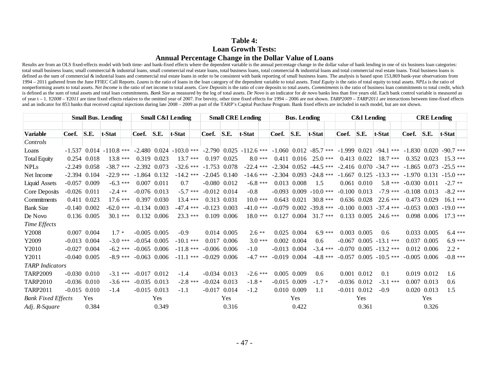### **Table 4: Loan Growth Tests: Annual Percentage Change in the Dollar Value of Loans**

Results are from an OLS fixed-effects model with both time- and bank-fixed effects where the dependent variable is the annual percentage change in the dollar value of bank lending in one of six business loan categories: total small business loans; small commercial & industrial loans, small commercial real estate loans, total business loans, total business loans, total commercial & industrial loans and total commercial real estate loans. T defined as the sum of commercial & industrial loans and commercial real estate loans in order to be consistent with bank reporting of small business loans. The analysis is based upon 153,869 bank-year observations from 1994 – 2011 gathered from the June FFIEC Call Reports. Loans is the ratio of loans in the loan category of the dependent variable to total assets. Total Equity is the ratio of total equity to total assets. NPLs is the rati nonperforming assets to total assets. Net Income is the ratio of net income to total assets. Core Deposits is the ratio of core deposits to total assets. Commitments is the ratio of business loan commitments to total credi is defined as the sum of total assets and total loan commitments. Bank Size as measured by the log of total assets. De Novo is an indicator for de novo banks less than five years old. Each bank control variable is measured of year t - 1. Y2008 - Y2011 are time fixed effects relative to the omitted year of 2007. For brevity, other time fixed effects for 1994 - 2006 are not shown. TARP2009 - TARP2011 are interactions between time-fixed effects and an indicator for 853 banks that received capital injections during late 2008 – 2009 as part of the TARP's Capital Purchase Program. Bank fixed effects are included in each model, but are not shown.

|                           | <b>Small Bus. Lending</b> |                  |                             | <b>Small C&amp;I Lending</b> |                               |             | <b>Small CRE Lending</b> |                  |                                                                                                                                                    | <b>Bus. Lending</b> |                  |                                                       |  |                              | <b>C&amp;I</b> Lending |            |          | <b>CRE</b> Lending         |                 |             |          |
|---------------------------|---------------------------|------------------|-----------------------------|------------------------------|-------------------------------|-------------|--------------------------|------------------|----------------------------------------------------------------------------------------------------------------------------------------------------|---------------------|------------------|-------------------------------------------------------|--|------------------------------|------------------------|------------|----------|----------------------------|-----------------|-------------|----------|
| <b>Variable</b>           | Coef.                     | S.E.             | t-Stat                      |                              | Coef. S.E.<br>t-Stat<br>Coef. |             |                          | S.E.             | t-Stat                                                                                                                                             | Coef.               | S.E.             | t-Stat                                                |  | Coef.                        | S.E.                   | t-Stat     |          | Coef. S.E.                 |                 | t-Stat      |          |
| Controls                  |                           |                  |                             |                              |                               |             |                          |                  |                                                                                                                                                    |                     |                  |                                                       |  |                              |                        |            |          |                            |                 |             |          |
| Loans                     |                           |                  | $-1.537$ 0.014 $-110.8$ *** |                              |                               |             |                          |                  | $-2.480$ $0.024$ $-103.0$ *** $-2.790$ $0.025$ $-112.6$ *** $-1.060$ $0.012$ $-85.7$ *** $-1.999$ $0.021$ $-94.1$ *** $-1.830$ $0.020$ $-90.7$ *** |                     |                  |                                                       |  |                              |                        |            |          |                            |                 |             |          |
| <b>Total Equity</b>       |                           | 0.254 0.018      | $13.8***$                   | 0.319 0.023                  |                               | $13.7***$   |                          | 0.197 0.025      | $8.0***$                                                                                                                                           |                     | 0.411 0.016      | $25.0***$                                             |  |                              | 0.413 0.022            | $18.7***$  |          |                            | 0.352 0.023     | $15.3***$   |          |
| <b>NPLs</b>               |                           | $-2.249$ 0.058   | $-38.7$ ***                 | $-2.392$ 0.073               |                               | $-32.6$ *** | $-1.753$ 0.078           |                  | $-22.4$ ***                                                                                                                                        |                     |                  | $-2.304$ 0.052 $-44.5$ *** $-2.416$ 0.070 $-34.7$ *** |  |                              |                        |            |          | $-1.865$ 0.073             |                 | $-25.5$ *** |          |
| Net Income                |                           | $-2.394$ 0.104   | $-22.9$ ***                 | $-1.864$ 0.132               |                               | $-14.2$ *** |                          | $-2.045$ 0.140   | $-14.6$ ***                                                                                                                                        |                     |                  | $-2.304$ 0.093 $-24.8$ *** $-1.667$ 0.125 $-13.3$ *** |  |                              |                        |            |          | $-1.970$ 0.131 $-15.0$ *** |                 |             |          |
| <b>Liquid Assets</b>      |                           | $-0.057$ 0.009   | $-6.3***$                   | 0.007 0.011                  |                               | 0.7         |                          | $-0.080$ $0.012$ | $-6.8$ ***                                                                                                                                         |                     | 0.013 0.008      | 1.5                                                   |  |                              | $0.061$ $0.010$        |            | $5.8***$ | $-0.030$ $0.011$           |                 | $-2.7$ **   |          |
| Core Deposits             |                           | $-0.026$ $0.011$ | $-2.4$ **                   | $-0.076$ 0.013               |                               | $-5.7$ ***  |                          | $-0.012$ 0.014   | $-0.8$                                                                                                                                             |                     |                  | $-0.093$ 0.009 $-10.0$ ***                            |  | $-0.100$ $0.013$             |                        | $-7.9$ *** |          | $-0.108$ 0.013             |                 | $-8.2$ ***  |          |
| Commitments               |                           | $0.411$ $0.023$  | $17.6***$                   | 0.397 0.030                  |                               | $13.4***$   |                          | 0.313 0.031      | $10.0***$                                                                                                                                          |                     | 0.643 0.021      | $30.8***$                                             |  | $0.636$ $0.028$              |                        | $22.6***$  |          |                            | 0.473 0.029     | $16.1***$   |          |
| <b>Bank Size</b>          |                           | $-0.140$ $0.002$ | $-62.0$ ***                 | $-0.134$ 0.003               |                               | $-47.4$ *** |                          | $-0.123$ 0.003   | $-41.0$ ***                                                                                                                                        | $-0.079$            | 0.002            | $-39.8$ ***                                           |  | $-0.100$ $0.003$ $-37.4$ *** |                        |            |          | $-0.053$ 0.003             |                 | $-190$ ***  |          |
| De Novo                   |                           | 0.136 0.005      | $30.1***$                   | 0.132 0.006                  |                               | $23.3***$   |                          | $0.109$ $0.006$  | $18.0***$                                                                                                                                          | 0.127               | 0.004            | $31.7***$                                             |  | 0.133 0.005                  |                        | $24.6***$  |          |                            | 0.098 0.006     | $17.3***$   |          |
| <b>Time Effects</b>       |                           |                  |                             |                              |                               |             |                          |                  |                                                                                                                                                    |                     |                  |                                                       |  |                              |                        |            |          |                            |                 |             |          |
| Y2008                     |                           | $0.007$ $0.004$  | $1.7*$                      | $-0.005$ 0.005               |                               | $-0.9$      |                          | $0.014$ $0.005$  | $2.6**$                                                                                                                                            |                     | $0.025$ 0.004    | $6.9***$                                              |  | $0.003$ $0.005$              |                        | 0.6        |          |                            | $0.033$ $0.005$ | $6.4***$    |          |
| Y2009                     |                           | $-0.013$ 0.004   | $-3.0***$                   | $-0.054$ 0.005               |                               | $-10.1$ *** |                          | 0.017 0.006      | $3.0***$                                                                                                                                           |                     | 0.002 0.004      | 0.6                                                   |  | $-0.067$ 0.005 $-13.1$ ***   |                        |            |          |                            | 0.037 0.005     |             | $6.9***$ |
| Y2010                     |                           | $-0.027$ 0.004   | $-6.2$ ***                  | $-0.065$ 0.006               |                               | $-11.8$ *** |                          | $-0.006$ 0.006   | $-1.0$                                                                                                                                             |                     | $-0.013$ $0.004$ | $-3.4***$                                             |  | $-0.070$ 0.005 $-13.2$ ***   |                        |            |          |                            | 0.012 0.006     | $2.2 *$     |          |
| Y2011                     |                           | $-0.040$ $0.005$ | $-89$ ***                   | $-0.063$ 0.006               |                               | $-11.1$ *** |                          | $-0.029$ 0.006   | $-4.7$ ***                                                                                                                                         | $-0.019$            | 0.004            | $-4.8***$                                             |  | $-0.057$ 0.005 $-10.5$ ***   |                        |            |          | $-0.005$ 0.006             |                 | $-0.8$ ***  |          |
| <b>TARP</b> Indicators    |                           |                  |                             |                              |                               |             |                          |                  |                                                                                                                                                    |                     |                  |                                                       |  |                              |                        |            |          |                            |                 |             |          |
| <b>TARP2009</b>           |                           | $-0.030$ $0.010$ | $-3.1***$                   | $-0.017$ 0.012               |                               | $-1.4$      |                          | $-0.034$ 0.013   | $-2.6$ ***                                                                                                                                         |                     | 0.005 0.009      | 0.6                                                   |  | $0.001$ $0.012$              |                        | 0.1        |          |                            | 0.019 0.012     | 1.6         |          |
| <b>TARP2010</b>           |                           | $-0.036$ $0.010$ | $-3.6***$                   | $-0.035$ 0.013               |                               | $-2.8$ ***  |                          | $-0.024$ 0.013   | $-1.8 *$                                                                                                                                           |                     | $-0.015$ 0.009   | $-1.7*$                                               |  | $-0.036$ $0.012$             |                        | $-3.1***$  |          |                            | 0.007 0.013     | 0.6         |          |
| <b>TARP2011</b>           |                           | $-0.015$ 0.010   | $-1.4$                      | $-0.015$ 0.013               |                               | $-1.1$      |                          | $-0.017$ 0.014   | $-1.2$                                                                                                                                             |                     | 0.010 0.009      | 1.1                                                   |  | $-0.011$                     | 0.012                  | $-0.9$     |          |                            | 0.020 0.013     | 1.5         |          |
| <b>Bank Fixed Effects</b> |                           | <b>Yes</b>       |                             |                              | <b>Yes</b>                    |             |                          | <b>Yes</b>       |                                                                                                                                                    |                     | Yes              |                                                       |  |                              | <b>Yes</b>             |            |          |                            | Yes             |             |          |
| Adj. R-Square             | 0.349<br>0.384            |                  |                             |                              | 0.316                         |             | 0.422                    |                  |                                                                                                                                                    |                     |                  | 0.361                                                 |  | 0.326                        |                        |            |          |                            |                 |             |          |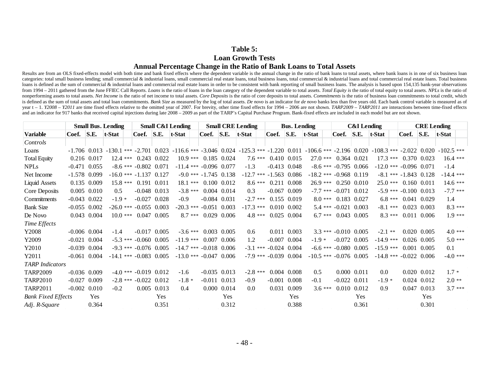# **Table 5: Loan Growth Tests**

# **Annual Percentage Change in the Ratio of Bank Loans to Total Assets**

Results are from an OLS fixed-effects model with both time and bank fixed effects where the dependent variable is the annual change in the ratio of bank loans to total assets, where bank loans is in one of six business loa categories: total small business lending; small commercial & industrial loans, small commercial real estate loans, total business loans, total commercial & industrial loans and total commercial real estate loans. Total bus loans is defined as the sum of commercial & industrial loans and commercial real estate loans in order to be consistent with bank reporting of small business loans. The analysis is based upon 154,135 bank-year observations from 1994 - 2011 gathered from the June FFIEC Call Reports. Loans is the ratio of loans in the loan category of the dependent variable to total assets. Total Equity is the ratio of total equity to total assets. NPLs is the nonperforming assets to total assets. Net Income is the ratio of net income to total assets. Core Deposits is the ratio of core deposits to total assets. Commitments is the ratio of business loan commitments to total credi is defined as the sum of total assets and total loan commitments. Bank Size as measured by the log of total assets. De novo is an indicator for de novo banks less than five years old. Each bank control variable is measured year t - 1. Y2008 - Y2011 are time fixed effects relative to the omitted year of 2007. For brevity, other time fixed effects for 1994 - 2006 are not shown. TARP2009 - TARP2011 are interactions between time-fixed effects and an indicator for 917 banks that received capital injections during late 2008 – 2009 as part of the TARP's Capital Purchase Program. Bank-fixed effects are included in each model but are not shown.

|                           | <b>Small Bus. Lending</b> |                |         |  | <b>Small C&amp;I Lending</b> |             |                                                                                                                                                                                                 |                | <b>Small CRE Lending</b> |                            |                           | <b>Bus.</b> Lending |           |                             |                  | <b>C&amp;I</b> Lending |          | <b>CRE</b> Lending         |                 |             |  |
|---------------------------|---------------------------|----------------|---------|--|------------------------------|-------------|-------------------------------------------------------------------------------------------------------------------------------------------------------------------------------------------------|----------------|--------------------------|----------------------------|---------------------------|---------------------|-----------|-----------------------------|------------------|------------------------|----------|----------------------------|-----------------|-------------|--|
| <b>Variable</b>           | Coef. S.E.                |                | t-Stat  |  | Coef. S.E.                   | t-Stat      |                                                                                                                                                                                                 |                | Coef. $\vert$ S.E.       | t-Stat                     | Coef.                     | S.E.                | t-Stat    | Coef.                       | S.E.             | t-Stat                 |          | Coef.                      | S.E.            | t-Stat      |  |
| Controls                  |                           |                |         |  |                              |             |                                                                                                                                                                                                 |                |                          |                            |                           |                     |           |                             |                  |                        |          |                            |                 |             |  |
| Loans                     |                           |                |         |  |                              |             | $-1.706$ $0.013$ $-130.1$ $***$ $-2.701$ $0.023$ $-116.6$ $***$ $-3.046$ $0.024$ $-125.3$ $***$ $-1.220$ $0.011$ $-106.6$ $***$ $-2.196$ $0.020$ $-108.3$ $***$ $-2.022$ $0.020$ $-102.5$ $***$ |                |                          |                            |                           |                     |           |                             |                  |                        |          |                            |                 |             |  |
| <b>Total Equity</b>       |                           | 0.216 0.017    |         |  | $12.4$ *** $0.243$ $0.022$   |             | $10.9***$ 0.185 0.024                                                                                                                                                                           |                |                          | $7.6***$                   |                           | 0.410 0.015         | $27.0***$ |                             | 0.364 0.021      |                        |          | $17.3***$ 0.370 0.023      |                 | $16.4***$   |  |
| <b>NPLs</b>               |                           | $-0.471$ 0.055 |         |  | $-8.6$ *** $-0.802$ 0.071    |             | $-11.4$ *** $-0.096$ 0.077                                                                                                                                                                      |                |                          | $-1.3$                     |                           | $-0.413$ 0.048      |           | $-8.6$ *** $-0.795$ 0.066   |                  |                        |          | $-12.0$ *** $-0.096$ 0.071 |                 | $-1.4$      |  |
| Net Income                | $-1.578$ 0.099            |                |         |  | $-16.0$ *** $-1.137$ 0.127   |             | $-9.0$ *** $-1.745$ 0.138                                                                                                                                                                       |                |                          | $-12.7$ *** $-1.563$ 0.086 |                           |                     |           | $-18.2$ *** $-0.968$ 0.119  |                  |                        |          | $-8.1$ *** $-1.843$ 0.128  |                 | $-14.4$ *** |  |
| <b>Liquid Assets</b>      |                           | 0.135 0.009    |         |  | 15.8 *** 0.191 0.011         |             | $18.1***$                                                                                                                                                                                       |                | $0.100$ $0.012$          | $8.6***$                   |                           | 0.211 0.008         | $26.9***$ |                             | 0.250 0.010      | $25.0***$              |          | 0.160 0.011                |                 | $14.6***$   |  |
| Core Deposits             |                           | 0.005 0.010    | 0.5     |  | $-0.048$ 0.013               |             | $-3.8***$                                                                                                                                                                                       |                | 0.004 0.014              | 0.3                        |                           | $-0.067$ 0.009      |           | $-7.7$ *** $-0.071$ 0.012   |                  |                        |          | $-5.9$ *** $-0.100$ 0.013  |                 | $-7.7$ ***  |  |
| Commitments               |                           | $-0.043$ 0.022 | $-1.9*$ |  | $-0.027$ 0.028               |             | $-0.9$                                                                                                                                                                                          | $-0.084$ 0.031 |                          | $-2.7$ ***                 |                           | 0.155 0.019         | $8.0***$  |                             | 0.183 0.027      |                        | $6.8***$ | $0.041$ $0.029$            |                 | 1.4         |  |
| <b>Bank Size</b>          |                           | $-0.055$ 0.002 |         |  | $-26.0$ *** $-0.055$ 0.003   |             | $-20.3$ *** $-0.051$                                                                                                                                                                            |                | 0.003                    | $-17.3$ ***                |                           | $0.010$ $0.002$     | $5.4***$  | $-0.021$                    | 0.003            | $-8.1***$              |          |                            | 0.023 0.003     | $8.3***$    |  |
| De Novo                   |                           | 0.043 0.004    |         |  | $10.0$ *** $0.047$ 0.005     |             | $8.7***$                                                                                                                                                                                        |                | 0.029 0.006              | $4.8***$                   |                           | 0.025 0.004         | $6.7***$  |                             | 0.043 0.005      |                        | $8.3***$ |                            | 0.011 0.006     | $1.9***$    |  |
| <b>Time Effects</b>       |                           |                |         |  |                              |             |                                                                                                                                                                                                 |                |                          |                            |                           |                     |           |                             |                  |                        |          |                            |                 |             |  |
| Y2008                     | $-0.006$ 0.004            |                | $-1.4$  |  | $-0.017$ 0.005               |             | $-3.6***$                                                                                                                                                                                       |                | $0.003$ 0.005            | $0.6^{\circ}$              |                           | 0.011 0.003         |           | $3.3***-0.010$ 0.005        |                  | $-2.1$ **              |          |                            | 0.020 0.005     | $4.0***$    |  |
| Y2009                     | $-0.021$ 0.004            |                |         |  | $-5.3$ *** $-0.060$ $0.005$  |             | $-11.9$ ***                                                                                                                                                                                     |                | $0.007$ 0.006            | 1.2                        |                           | $-0.007$ 0.004      | $-1.9*$   |                             | $-0.072$ 0.005   | $-14.9$ ***            |          |                            | $0.026$ $0.005$ | $5.0***$    |  |
| Y2010                     | $-0.039$ $0.004$          |                |         |  | $-9.3$ *** $-0.076$ 0.005    |             | $-14.7$ *** $-0.018$ 0.006                                                                                                                                                                      |                |                          |                            | $-3.1$ *** $-0.024$ 0.004 |                     |           | $-6.6$ *** $-0.080$ $0.005$ |                  | $-15.9$ ***            |          |                            | $0.001$ $0.005$ | 0.1         |  |
| Y2011                     | $-0.061$ 0.004            |                |         |  | $-14.1$ *** $-0.083$ 0.005   |             | $-13.0$ *** $-0.047$ 0.006                                                                                                                                                                      |                |                          | $-7.9$ *** $-0.039$ 0.004  |                           |                     |           | $-10.5$ *** $-0.076$ 0.005  |                  |                        |          | $-14.8$ *** $-0.022$ 0.006 |                 | $-4.0$ ***  |  |
| <b>TARP</b> Indicators    |                           |                |         |  |                              |             |                                                                                                                                                                                                 |                |                          |                            |                           |                     |           |                             |                  |                        |          |                            |                 |             |  |
| <b>TARP2009</b>           | $-0.036$ 0.009            |                |         |  | $-4.0$ *** $-0.019$ 0.012    |             | $-1.6$                                                                                                                                                                                          |                | $-0.035$ 0.013           | $-2.8$ ***                 |                           | 0.004 0.008         | 0.5       |                             | 0.000 0.011      | $0.0\,$                |          |                            | 0.020 0.012     | $1.7 *$     |  |
| <b>TARP2010</b>           | $-0.027$                  | 0.009          |         |  | $-2.8$ *** $-0.022$ 0.012    |             | $-1.8*$                                                                                                                                                                                         |                | $-0.011$ $0.013$         | $-0.9$                     |                           | $-0.001$ 0.008      | $-0.1$    |                             | $-0.022$ $0.011$ | $-1.9*$                |          |                            | 0.024 0.012     | $2.0**$     |  |
| <b>TARP2011</b>           | $-0.002$ $0.010$          |                | $-0.2$  |  |                              | 0.005 0.013 | 0.4                                                                                                                                                                                             |                | $0.000$ $0.014$          | 0.0                        | 0.031                     | 0.009               | $3.6***$  |                             | $0.010$ $0.012$  | 0.9                    |          |                            | 0.047 0.013     | $3.7***$    |  |
| <b>Bank Fixed Effects</b> |                           | <b>Yes</b>     |         |  |                              | Yes         |                                                                                                                                                                                                 |                | Yes                      |                            |                           | Yes                 |           |                             | <b>Yes</b>       |                        |          |                            | <b>Yes</b>      |             |  |
| Adj. R-Square             |                           | 0.364          |         |  |                              | 0.351       |                                                                                                                                                                                                 |                | 0.312                    |                            |                           | 0.388               |           |                             | 0.361            |                        |          |                            | 0.301           |             |  |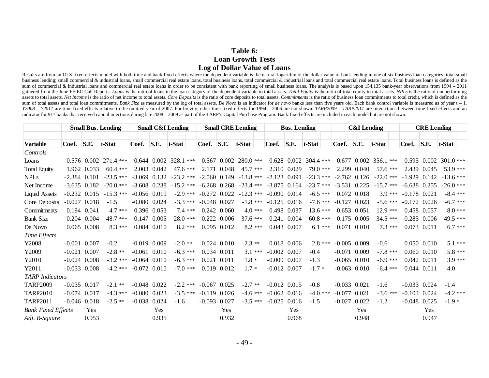### **Table 6: Loan Growth Tests Log of Dollar Value of Loans**

Results are from an OLS fixed-effects model with both time and bank fixed effects where the dependent variable is the natural logarithm of the dollar value of bank lending in one of six business loan categories: total smal business lending; small commercial & industrial loans, small commercial real estate loans, total business loans, total commercial & industrial loans and total commercial real estate loans. Total business loans is defined a sum of commercial & industrial loans and commercial real estate loans in order to be consistent with bank reporting of small business loans. The analysis is based upon 154,135 bank-year observations from 1994 – 2011 gathered from the June FFIEC Call Reports. Loans is the ratio of loans in the loan category of the dependent variable to total assets. Total Equity is the ratio of total equity to total assets. NPLs is the ratio of nonperf assets to total assets. Net Income is the ratio of net income to total assets. Core Deposits is the ratio of core deposits to total assets. Commitments is the ratio of business loan commitments to total credit, which is de sum of total assets and total loan commitments. Bank Size as measured by the log of total assets. De Novo is an indicator for de novo banks less than five years old. Each bank control variable is measured as of year t - 1. Y2008 - Y2011 are time fixed effects relative to the omitted year of 2007. For brevity, other time fixed effects for 1994 - 2006 are not shown. TARP2009 - TARP2011 are interactions between time-fixed effects and an indicator for 917 banks that received capital injections during late 2008 – 2009 as part of the TARP's Capital Purchase Program. Bank-fixed effects are included in each model but are not shown.

|                           | <b>Small Bus. Lending</b> |                 |                             |          | <b>Small C&amp;I Lending</b> |             |                           |                | <b>Small CRE Lending</b> |                           |    | <b>Bus.</b> Lending |               |                             |          | <b>C&amp;I</b> Lending |                  |                           |                | <b>CRE</b> Lending |             |          |  |
|---------------------------|---------------------------|-----------------|-----------------------------|----------|------------------------------|-------------|---------------------------|----------------|--------------------------|---------------------------|----|---------------------|---------------|-----------------------------|----------|------------------------|------------------|---------------------------|----------------|--------------------|-------------|----------|--|
|                           |                           |                 |                             |          |                              |             |                           |                |                          |                           |    |                     |               |                             |          |                        |                  |                           |                |                    |             |          |  |
| <b>Variable</b>           | Coef.                     | S.E.            | t-Stat                      |          | Coef.                        | S.E.        | t-Stat                    | Coef. S.E.     |                          | t-Stat                    |    | Coef.               | S.E.          | t-Stat                      | Coef.    |                        | S.E.             | t-Stat                    | Coef.          | <b>S.E.</b>        | t-Stat      |          |  |
| Controls                  |                           |                 |                             |          |                              |             |                           |                |                          |                           |    |                     |               |                             |          |                        |                  |                           |                |                    |             |          |  |
| Loans                     |                           |                 | $0.576$ $0.002$ $271.4$ *** |          |                              |             | $0.644$ $0.002$ 328.1 *** |                |                          | $0.567$ $0.002$ 280.0 *** |    |                     |               | $0.628$ $0.002$ $304.4$ *** |          |                        |                  | $0.677$ $0.002$ 356.1 *** |                | $0.595$ $0.002$    | $301.0$ *** |          |  |
| <b>Total Equity</b>       |                           | 1.962 0.033     | $60.4$ ***                  |          |                              | 2.003 0.042 | 47.6 ***                  |                | 2.171 0.048              | $45.7***$                 |    |                     | 2.310 0.029   | $79.0***$                   |          | 2.299                  | 0.040            | 57.6 ***                  |                | 2.439 0.045        | $53.9***$   |          |  |
| <b>NPLs</b>               |                           | $-2.384$ 0.101  | $-23.5$ ***                 |          | $-3.069$ 0.132               |             | $-23.2$ ***               | $-2.060$ 0.149 |                          | $-13.8$ ***               |    | $-2.123$ 0.091      |               | $-23.3$ ***                 |          |                        | $-2.762$ 0.126   | $-22.0$ ***               | $-1.929$ 0.142 |                    | $-13.6$ *** |          |  |
| Net Income                |                           |                 | $-3.635$ 0.182 $-20.0$ ***  |          | $-3.608$ 0.238               |             | $-15.2$ ***               | $-6.268$ 0.268 |                          | $-23.4$ ***               |    | $-3.875$ 0.164      |               | $-23.7$ ***                 |          |                        | $-3.531$ 0.225   | $-15.7$ ***               | $-6.638$ 0.255 |                    | $-26.0$ *** |          |  |
| <b>Liquid Assets</b>      | $-0.232$                  |                 | $0.015 - 15.3$ ***          |          | $-0.056$ 0.019               |             | $-2.9$ ***                | $-0.272$ 0.022 |                          | $-12.3$ ***               |    | $-0.090$ $0.014$    |               | $-6.5$ ***                  |          | 0.072                  | 0.018            | $3.9***$                  | $-0.178$ 0.021 |                    | $-8.4$ ***  |          |  |
| Core Deposits             | $-0.027$                  | 0.018           | $-1.5$                      |          | $-0.080$ $0.024$             |             | $-3.3***$                 |                | $-0.048$ 0.027           | $-1.8$ ***                |    | $-0.125$ 0.016      |               | $-7.6***$                   | $-0.127$ |                        | 0.023            | $-5.6$ ***                | $-0.172$ 0.026 |                    | $-6.7$ ***  |          |  |
| Commitments               |                           | $0.194$ $0.041$ | $4.7***$                    |          |                              | 0.396 0.053 | $7.4***$                  |                | $0.242$ $0.060$          | $4.0***$                  |    |                     | 0.498 0.037   | $13.6***$                   |          |                        | $0.653$ $0.051$  | $12.9***$                 |                | 0.458 0.057        | $8.0***$    |          |  |
| <b>Bank Size</b>          | 0.204                     | 0.004           | 48.7 ***                    |          |                              | 0.147 0.005 | $28.0***$                 |                | 0.222 0.006              | $37.6***$                 |    | 0.241               | 0.004         | $60.8***$                   |          |                        | 0.175 0.005      | $34.5***$                 |                | $0.285$ 0.006      | 49.5 ***    |          |  |
| De Novo                   |                           | 0.065 0.008     |                             | $8.3***$ |                              | 0.084 0.010 | $8.2***$                  |                | 0.095 0.012              | $8.2***$                  |    |                     | 0.043 0.007   | $6.1***$                    |          | 0.071                  | 0.010            | $7.3***$                  |                | 0.073 0.011        | $6.7***$    |          |  |
| Time Effects              |                           |                 |                             |          |                              |             |                           |                |                          |                           |    |                     |               |                             |          |                        |                  |                           |                |                    |             |          |  |
| Y2008                     | $-0.001$                  | 0.007           | $-0.2$                      |          | $-0.019$ $0.009$             |             | $-2.0**$                  |                | 0.024 0.010              | $2.3**$                   |    |                     | $0.018$ 0.006 | $2.8***$                    |          |                        | $-0.005$ 0.009   | $-0.6$                    |                | $0.050$ $0.010$    | $5.1***$    |          |  |
| Y2009                     | $-0.021$                  | 0.007           | $-2.8$ **                   |          | $-0.061$ $0.010$             |             | $-6.3***$                 |                | 0.034 0.011              | $3.1***$                  |    | $-0.002$ $0.007$    |               | $-0.4$                      |          |                        | $-0.071$ 0.009   | $-7.8$ ***                |                | 0.060 0.010        |             | $5.8***$ |  |
| Y2010                     | $-0.024$ 0.008            |                 | $-3.2$ ***                  |          | $-0.064$ 0.010               |             | $-6.3$ ***                |                | 0.021 0.011              | $1.8 *$                   |    | $-0.009$ $0.007$    |               | $-1.3$                      |          |                        | $-0.065$ 0.010   | $-6.9$ ***                |                | $0.042$ 0.011      |             | $3.9***$ |  |
| Y2011                     | $-0.033$ $0.008$          |                 | $-4.2$ ***                  |          | $-0.072$ 0.010               |             | $-7.0$ ***                |                | 0.019 0.012              | $1.7 *$                   |    | $-0.012$ $0.007$    |               | $-1.7*$                     | $-0.063$ |                        | 0.010            | $-6.4$ ***                |                | $0.044$ $0.011$    | 4.0         |          |  |
| <b>TARP</b> Indicators    |                           |                 |                             |          |                              |             |                           |                |                          |                           |    |                     |               |                             |          |                        |                  |                           |                |                    |             |          |  |
| <b>TARP2009</b>           | $-0.035$                  | 0.017           | $-2.1$ **                   |          | $-0.048$ 0.022               |             | $-2.2$ ***                |                | $-0.067$ 0.025           | $-2.7$                    | ** | $-0.012$ $0.015$    |               | $-0.8$                      |          |                        | $-0.033$ $0.021$ | $-1.6$                    | $-0.033$ 0.024 |                    | $-1.4$      |          |  |
| <b>TARP2010</b>           | $-0.074$                  | 0.017           | $-4.3***$                   |          | $-0.080$ $0.023$             |             | $-3.5***$                 |                | $-0.119$ 0.026           | $-4.6$ ***                |    | $-0.062$ 0.016      |               | $-4.0$ ***                  | $-0.077$ |                        | 0.021            | $-3.6$ ***                | $-0.103$ 0.024 |                    | $-4.2$ ***  |          |  |
| <b>TARP2011</b>           | $-0.046$ 0.018            |                 | $-2.5$ **                   |          | $-0.038$ 0.024               |             | $-1.6$                    |                | $-0.093$ 0.027           | $-3.5***$                 |    | $-0.025$            | 0.016         | $-1.5$                      | $-0.027$ |                        | 0.022            | $-1.2$                    |                | $-0.048$ 0.025     | $-1.9*$     |          |  |
| <b>Bank Fixed Effects</b> |                           | Yes             |                             |          |                              | Yes         |                           |                | Yes                      |                           |    |                     | Yes           |                             |          |                        | Yes              |                           |                | <b>Yes</b>         |             |          |  |
| Adj. R-Square             |                           | 0.953           |                             |          |                              | 0.935       |                           |                | 0.932                    |                           |    |                     | 0.968         |                             |          |                        | 0.948            |                           |                | 0.947              |             |          |  |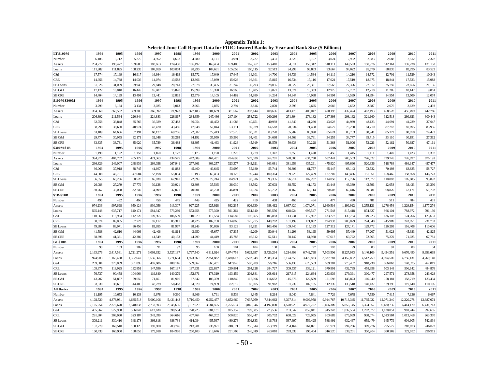| <b>LT\$100M</b>      | 1994             | 1995             | 1996             | 1997               | 1998               | 1999             | 2000              | 2001              | 2002               | 2003               | 2004                 | 2005                 | 2006                 | 2007               | 2008                 | 2009               | 2010               | 2011              |
|----------------------|------------------|------------------|------------------|--------------------|--------------------|------------------|-------------------|-------------------|--------------------|--------------------|----------------------|----------------------|----------------------|--------------------|----------------------|--------------------|--------------------|-------------------|
| Number               | 6,105            | 5,712            | 5,279            | 4,952              | 4,603              | 4,280            | 4,171             | 3,991             | 3,727              | 3,431              | 3,325                | 3,157                | 3,024                | 2,992              | 2,883                | 2,688              | 2,512              | 2,322             |
| Assets               | 204,772          | 198,477          | 189,686          | 183,663            | 174,450            | 166,492          | 169,404           | 169,403           | 162,567            | 153,410            | 154,011              | 150,312              | 148,111              | 149,563            | 150,976              | 142,161            | 137,238            | 131,153           |
| Loans                | 111,982          | 111,895          | 108,233          | 107,959            | 103,874            | 98,290           | 104,631           | 105,058           | 100,115            | 92,513             | 94,298               | 93,863               | 93,667               | 94,022             | 95,579               | 88,835             | 83,295             | 83,523            |
| C&I                  | 17,574           | 17,199           | 16,917           | 16,984             | 16,463             | 15,772           | 17,049            | 17,645            | 16,301             | 14,700             | 14,739               | 14,534               | 14,119               | 14,210             | 14,572               | 12,701             | 11,529             | 10,343            |
| <b>CRE</b>           | 14,956           | 14,738           | 14,036           | 14,074             | 13,588             | 13,366           | 15,039            | 15,628            | 16,361             | 15,815             | 16,734               | 17,116               | 17,021               | 17,519             | 18,975               | 18,844             | 17,523             | 15,983            |
| SB Loans             | 31,526           | 31,009           | 29,940           | 29,848             | 28,741             | 27,678           | 30,495            | 31,247            | 30,293             | 28,055             | 28,522               | 28,301               | 27,568               | 27,326             | 27,612               | 25,759             | 23,656             | 21,135            |
| SB C&I               | 17,122           | 16,810           | 16,449           | 16,407             | 15,878             | 15,099           | 16,390            | 16,766            | 15,405             | 13,821             | 13,674               | 13,333               | 12,975               | 12,787             | 12,718               | 11,205             | 10,147             | 9,061             |
| <b>SB CRE</b>        | 14,404           | 14,199           | 13,491           | 13,441             | 12,863             | 12,579           | 14,105            | 14,482            | 14,889             | 14.234             | 14,847               | 14,968               | 14,594               | 14,539             | 14,894               | 14,554             | 13,509             | 12,074            |
| \$100M-\$300M        | 1994             | 1995             | 1996             | 1997               | 1998               | 1999             | 2000              | 2001              | 2002               | 2003               | 2004                 | 2005                 | 2006                 | 2007               | 2008                 | 2009               | 2010               | 2011              |
| Number               | 3,299            | 3,164            | 3,134            | 3,025              | 3,013              | 2,966            | 2,875             | 2,794             | 2,816              | 2,870              | 2,795                | 2,695                | 2,666                | 2,652              | 2,687                | 2,676              | 2,629              | 2,493             |
| Assets               | 364,560          | 360,502          | 369,305          | 366,392            | 371,973            | 377,183          | 381,689           | 381,567           | 393,144            | 408,696            | 413,475              | 408,047              | 420,193              | 432,424            | 462,193              | 458,528            | 456,499            | 442,786           |
| Loans                | 206,392          | 211,564          | 220,844          | 224,883            | 228,867            | 234,659          | 247,436           | 247,104           | 253,722            | 260,266            | 271,394              | 273,182              | 287,393              | 298,162            | 321,160              | 312,513            | 299,623            | 300,443           |
| C&I                  | 32,758           | 33,848           | 35,766           | 36,329             | 37,483             | 39,054           | 41,472            | 41,088            | 40,651             | 40,993             | 41,840               | 41,280               | 43,023               | 44,989             | 48,123               | 44,691             | 41,239             | 37,947            |
| <b>CRE</b>           | 38,290           | 38,630           | 40,974           | 42,420             | 43,486             | 47,048           | 52,044            | 53,111            | 59,939             | 64,583             | 70,834               | 71,458               | 74,627               | 76,280             | 84,710               | 87,218             | 87,895             | 83,955            |
| SB Loans             | 63,109           | 64,686           | 67,191           | 68,137             | 69,706             | 72,587           | 77,413            | 77,525            | 80,321             | 83,278             | 85,207               | 83,990               | 85,624               | 85,783             | 88,941               | 85,272             | 80,878             | 74,473            |
| SB C&I               | 29,774           | 30,955           | 32,171           | 32,348             | 33,218             | 34,192           | 35,950            | 35,599            | 34,401             | 34,698             | 34,569               | 33,761               | 34,255               | 34,777             | 35,715               | 33,110             | 30,191             | 27,312            |
| <b>SB CRE</b>        | 33,335           | 33,731           | 35,020           | 35,789             | 36,488             | 38,395           | 41,463            | 41,926            | 45,919             | 48,579             | 50,638               | 50,228               | 51,368               | 51,006             | 53,226               | 52,162             | 50,687             | 47,161            |
| \$300M-\$1B          | 1994             | 1995             | 1996             | 1997               | 1998               | 1999             | 2000              | 2001              | 2002               | 2003               | 2004                 | 2005                 | 2006                 | 2007               | 2008                 | 2009               | 2010               | 2011              |
| Number               | 1,198            | 1,192            | 1,152            | 1,160              | 1,177              | 1,175            | 1,190             | 1,228             | 1,279              | 1,347              | 1,353                | 1,428                | 1,456                | 1,445              | 1,411                | 1,449              | 1,423              | 1,307             |
| Assets               | 394,975          | 404,702          | 405,127          | 421,363            | 434,575            | 442,009          | 464,431           | 494,698           | 529,020            | 564,281            | 578,500              | 634,730              | 682,441              | 703,503            | 726,622              | 739,745            | 726,897            | 676,192           |
| Loans                | 236,829          | 249,007          | 248,936          | 264,038            | 267,941            | 277,661          | 303,257           | 323,377           | 343,621            | 363,081            | 381,953              | 435,291              | 475,920              | 495,690            | 520,336              | 518,784            | 486,147            | 487,477           |
| C&I                  | 36,063           | 37,918           | 38,745           | 41,667             | 41,883             | 45,460           | 49,645            | 53,997            | 55,180             | 55,744             | 56,806               | 61,757               | 65,447               | 68,143             | 72,522               | 70,493             | 63,835             | 58,727            |
| <b>CRE</b>           | 44,508           | 46,701           | 47,604           | 52,198             | 55,094             | 61,193           | 69,463            | 78,123            | 90,744             | 100,364            | 109,725              | 127,459              | 137,207              | 140,466            | 151,351              | 158,465            | 158,858            | 146,773           |
| SB Loans             | 56,855           | 60,286           | 60,528           | 65,038             | 67,941             | 72,899           | 79,244            | 84,921            | 90,516             | 93,335             | 96,914               | 107,287              | 114,050              | 112,796            | 112,677              | 110,883            | 105,605            | 93,092            |
| SB C&I               | 26,088           | 27,279           | 27,779           | 30,138             | 30,921             | 32,898           | 35,545            | 38,030            | 38,592             | 37,603             | 38,752               | 41,173               | 43,448               | 43,380             | 43,596               | 42,058             | 38,433             | 33,390            |
|                      |                  |                  |                  |                    |                    |                  |                   |                   |                    |                    |                      |                      | 70,602               | 69,416             | 69,081               | 68,826             | 67,171             | 59,702            |
| <b>SB CRE</b>        |                  | 33,008           | 32,749           | 34,899             | 37,021             | 40,001           |                   | 46,891            | 51,924             | 55,732             |                      |                      |                      |                    |                      |                    |                    |                   |
|                      | 30,767<br>1994   |                  |                  |                    |                    | 1999             | 43,700            |                   | 2002               | 2003               | 58,162<br>2004       | 66,114               | 2006                 |                    | 2008                 | 2009               |                    |                   |
| \$1B-\$10B<br>Number | 495              | 1995<br>482      | 1996<br>466      | 1997<br>450        | 1998<br>445        | 449              | 2000<br>425       | 2001<br>422       | 419                | 458                | 465                  | 2005<br>464          | 477                  | 2007<br>490        | 481                  | 511                | 2010<br>484        | 2011<br>461       |
|                      |                  |                  |                  |                    |                    | 927,225          |                   | 932,235           |                    |                    |                      |                      |                      |                    |                      |                    |                    |                   |
| Assets               | 974,236          | 997,698          | 950,124          | 930,056<br>584,347 | 913,307<br>573,289 | 573,958          | 925,928           | 591,364           | 926,630<br>564,640 | 988,412<br>593,556 | 1,037,420<br>648,924 | 1,074,071<br>695,547 | 1,160,516<br>771,548 | 1,199,912          | 1,255,121<br>874,827 | 1,276,454          | 1,229,154          | 1,177,274         |
| Loans                | 595,148          | 637,717          | 610,174          |                    |                    |                  | 577,390           |                   |                    |                    |                      |                      |                      | 815,418            |                      | 866,104            | 788,972            | 791,130           |
| C&I                  | 110,569          | 118,934          | 112,720          | 109,965            | 106,559            | 110,570          | 112,534           | 114,587           | 106,665<br>125,275 | 105,883<br>140,262 | 113,731              | 117,907              | 133,272              | 139,734            | 149,223              | 136,103<br>245,909 | 124,266            | 123,651           |
| <b>CRE</b>           | 88,674<br>79,984 | 89,065<br>83,971 | 87,723<br>86,456 | 87,112<br>83,955   | 85,311<br>81,967   | 98,226<br>88,249 | 107,768<br>90,096 | 114,066<br>93,123 | 95,821             | 103,456            | 161,199<br>109,440   | 171,802<br>115,183   | 194,933              | 208,879<br>127,171 | 224,640<br>129,772   | 126,293            | 243,051<br>116,408 | 231,783           |
| SB Loans<br>SB C&I   | 41,588           | 42,610           | 44,066           | 42,406             | 41,814             | 43,950           | 45,677            | 47,335            | 49,209             | 50,944             | 51,293               | 53,195               | 127,312<br>59,695    | 57,449             | 57,207               | 51,023             | 45,383             | 110,606<br>42,825 |
| <b>SB CRE</b>        | 38,396           | 41,361           | 42,389           | 41,549             | 40,153             | 44,299           | 44,419            | 45,787            | 46,612             | 52,511             | 58,147               | 61,988               | 67,617               | 69,722             | 72,565               | 75,270             | 71,025             | 67,781            |
| <b>GT \$10B</b>      | 1994             | 1995             | 1996             | 1997               | 1998               | 1999             | 2000              | 2001              | 2002               | 2003               | 2004                 | 2005                 | 2006                 | 2007               | 2008                 | 2009               | 2010               | 2011              |
| Number               | 98               | 103              | 107              | 91                 | 92                 | 96               | 100               | 101               | 104                | 108                | 102                  | 97                   | 103                  | 99                 | 88                   | 91                 | 88                 | 84                |
| Assets               | 2,163,976        | 2,417,581        | 2,721,271        | 3,098,632          | 3,527,137          | 3,797,540        | 4,311,024         | 4,674,758         | 5,025,697          | 5,729,264          | 6,214,408            | 6,742,798            | 7,503,506            | 8,227,943          | 9,140,109            | 9,454,351          | 9,670,490          | 9,959,669         |
| Loans                | 974,903          | 1,166,488        | 1,352,647        | 1,556,366          | 1,771,664          | 1,973,360        | 2,351,882         | 2,488,612         | 2,582,948          | 2,888,384          | 3,174,356            | 3,479,823            | 3,837,781            | 4,152,852          | 4,512,750            | 4,694,500          | 4,756,131          | 4,769,140         |
| C&I                  | 269,004          | 320,089          | 351,895          | 407,686            | 488,116            | 559,867          | 660,431           | 647,840           | 580,789            | 556,216            | 536,430              | 623,563              | 689,381              | 770,457            | 918,238              | 866,063            | 740,375            | 762,019           |
| <b>CRE</b>           | 105,376          | 118,925          | 132,851          | 147,596            | 167,137            | 187,931          | 222,887           | 239,891           | 264,128            | 284,727            | 309,537              | 339,121              | 379,901              | 432,795            | 458,398              | 503,148            | 506,142            | 484,876           |
| SB Loans             | 76,737           | 90,458           | 104,064          | 119,840            | 140,379            | 152,671          | 178,319           | 193,459           | 204,881            | 208,614            | 217,615              | 224,664              | 233,936              | 279,391            | 300,477              | 297,571            | 278,358            | 243,628           |
| SB C&I               | 43,207           | 51,857           | 59,659           | 71,601             | 81,916             | 87,842           | 103,359           | 110,840           | 117,906            | 116,652            | 115,876              | 122,559              | 121,598              | 145,873            | 160,040              | 158,181            | 158,719            | 133,434           |
| SB CRE               | 33,530           | 38,601           | 44,405           | 48,239             | 58,463             | 64,829           | 74,959            | 82,619            | 86,975             | 91,962             | 101,739              | 102,105              | 112,339              | 133,518            | 140,437              | 139,390            | 119,640            | 110,195           |
| <b>All Banks</b>     | 1994             | 1995             | 1996             | 1997               | 1998               | 1999             | 2000              | 2001              | 2002               | 2003               | 2004                 | 2005                 | 2006                 | 2007               | 2008                 | 2009               | 2010               | 2011              |
| Number               | 11,195           | 10,653           | 10,138           | 9,678              | 9,330              | 8,966            | 8,761             | 8,536             | 8,345              | 8,214              | 8,040                | 7,841                | 7,726                | 7,678              | 7,550                | 7,415              | 7,136              | 6,667             |
| Assets               | 4,102,520        | 4,378,961        | 4,635,513        | 5,000,106          | 5,421,443          | 5,710,450        | 6,252,477         | 6,652,660         | 7,037,059          | 7,844,062          | 8,397,814            | 9,009,958            | 9,914,767            | 10,713,345         | 11,735,022           | 12,071,240         | 12,220,278         | 12,387,074        |
| Loans                | 2,125,254        | 2,376,670        | 2,540,833        | 2,737,593          | 2,945,635          | 3,157,929        | 3,584,595         | 3,755,514         | 3,845,046          | 4,197,800          | 4,570,925            | 4,977,707            | 5,466,309            | 5,856,145          | 6,324,652            | 6,480,735          | 6,414,170          | 6,431,713         |
| C&I                  | 465,967          | 527,988          | 556,042          | 612,630            | 690,504            | 770,723          | 881,131           | 875,157           | 799,585            | 773,536            | 763,547              | 859,041              | 945,243              | 1,037,534          | 1,202,677            | 1,130,051          | 981,244            | 992,685           |
| <b>CRE</b>           | 291,804          | 308,060          | 323,187          | 343,399            | 364,616            | 407,764          | 467,202           | 500,820           | 556,447            | 605,752            | 668,029              | 726,955              | 803,689              | 875,939            | 938,074              | 1,013,584          | 1,013,468          | 963,370           |
| SB Loans             | 308,211          | 330,410          | 348,178          | 366,818            | 388,734            | 414,084          | 455,567           | 480,276           | 501,833            | 516,738            | 537,697              | 559,425              | 588,491              | 632,467            | 659,479              | 645,779            | 604,905            | 542,934           |
| SB C&I               | 157,779          | 169,510          | 180,125          | 192,900            | 203,746            | 213,981          | 236,921           | 248,571           | 255,514            | 253,719            | 254,164              | 264,021              | 271,971              | 294,266            | 309,276              | 295,577            | 282,873            | 246,022           |

**Appendix Table 1: Selected June Call Report Data for FDIC-Insured Banks by Year and Bank Size (\$ Billions)**